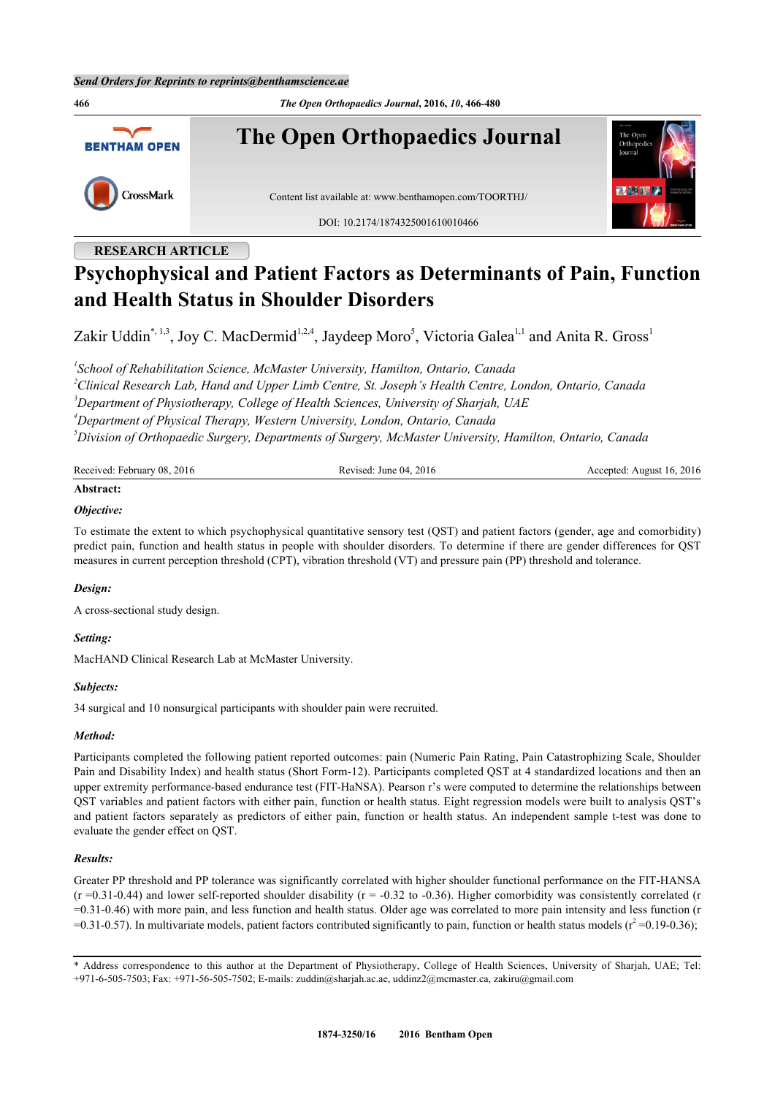**466** *The Open Orthopaedics Journal***, 2016,** *10***, 466-480 The Open Orthopaedics Journal BENTHAM OPEN** CrossMark Content list available at: [www.benthamopen.com/TOORTHJ/](http://www.benthamopen.com/TOORTHJ/) DOI: [10.2174/1874325001610010466](http://dx.doi.org/10.2174/1874325001610010466)

## **RESEARCH ARTICLE**

# **Psychophysical and Patient Factors as Determinants of Pain, Function and Health Status in Shoulder Disorders**

Zakir Uddin[\\*,](#page-0-0) [1,](#page-0-1)[3](#page-0-2), Joy C. MacDermid<sup>[1](#page-0-1)[,2](#page-0-3)[,4](#page-0-4)</sup>, Jaydeep Moro<sup>[5](#page-0-5)</sup>, Victoria Galea<sup>[1,1](#page-0-1)</sup> and Anita R. Gross<sup>1</sup>

<span id="page-0-3"></span><span id="page-0-2"></span><span id="page-0-1"></span> *School of Rehabilitation Science, McMaster University, Hamilton, Ontario, Canada Clinical Research Lab, Hand and Upper Limb Centre, St. Joseph's Health Centre, London, Ontario, Canada Department of Physiotherapy, College of Health Sciences, University of Sharjah, UAE Department of Physical Therapy, Western University, London, Ontario, Canada Division of Orthopaedic Surgery, Departments of Surgery, McMaster University, Hamilton, Ontario, Canada*

<span id="page-0-5"></span><span id="page-0-4"></span>

| Received: February 08, 2016 | Revised: June $04, 2016$ | Accepted: August 16, 2016 |
|-----------------------------|--------------------------|---------------------------|
| Abstract:                   |                          |                           |

### *Objective:*

To estimate the extent to which psychophysical quantitative sensory test (QST) and patient factors (gender, age and comorbidity) predict pain, function and health status in people with shoulder disorders. To determine if there are gender differences for QST measures in current perception threshold (CPT), vibration threshold (VT) and pressure pain (PP) threshold and tolerance.

## *Design:*

A cross-sectional study design.

#### *Setting:*

MacHAND Clinical Research Lab at McMaster University.

#### *Subjects:*

34 surgical and 10 nonsurgical participants with shoulder pain were recruited.

#### *Method:*

Participants completed the following patient reported outcomes: pain (Numeric Pain Rating, Pain Catastrophizing Scale, Shoulder Pain and Disability Index) and health status (Short Form-12). Participants completed QST at 4 standardized locations and then an upper extremity performance-based endurance test (FIT-HaNSA). Pearson r's were computed to determine the relationships between QST variables and patient factors with either pain, function or health status. Eight regression models were built to analysis QST's and patient factors separately as predictors of either pain, function or health status. An independent sample t-test was done to evaluate the gender effect on QST.

#### *Results:*

Greater PP threshold and PP tolerance was significantly correlated with higher shoulder functional performance on the FIT-HANSA  $(r = 0.31 - 0.44)$  and lower self-reported shoulder disability  $(r = -0.32$  to  $-0.36)$ . Higher comorbidity was consistently correlated (r =0.31-0.46) with more pain, and less function and health status. Older age was correlated to more pain intensity and less function (r  $=0.31$ -0.57). In multivariate models, patient factors contributed significantly to pain, function or health status models ( $r^2$  = 0.19-0.36);

<span id="page-0-0"></span><sup>\*</sup> Address correspondence to this author at the Department of Physiotherapy, College of Health Sciences, University of Sharjah, UAE; Tel: +971-6-505-7503; Fax: +971-56-505-7502; E-mails: [zuddin@sharjah.ac.ae,](mailto:zuddin@sharjah.ac.ae) [uddinz2@mcmaster.ca](mailto:uddinz2@mcmaster.ca), [zakiru@gmail.com](mailto:zakiru@gmail.com)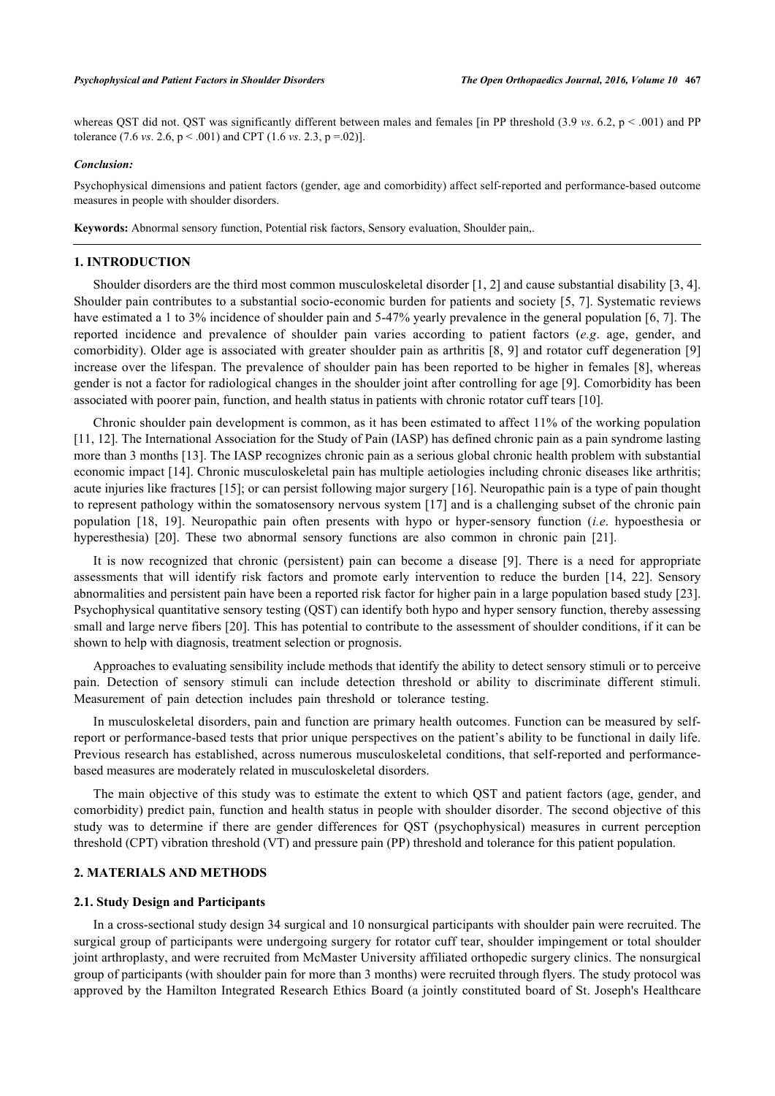whereas QST did not. QST was significantly different between males and females [in PP threshold (3.9 *vs.* 6.2, p < .001) and PP tolerance (7.6 *vs*. 2.6, p < .001) and CPT (1.6 *vs*. 2.3, p =.02)].

#### *Conclusion:*

Psychophysical dimensions and patient factors (gender, age and comorbidity) affect self-reported and performance-based outcome measures in people with shoulder disorders.

**Keywords:** Abnormal sensory function, Potential risk factors, Sensory evaluation, Shoulder pain,.

## **1. INTRODUCTION**

Shoulder disorders are the third most common musculoskeletal disorder [\[1](#page-10-0), [2](#page-10-1)] and cause substantial disability [[3,](#page-10-2) [4\]](#page-10-3). Shoulder pain contributes to a substantial socio-economic burden for patients and society [[5](#page-10-4), [7\]](#page-11-0). Systematic reviews have estimated a 1 to 3% incidence of shoulder pain and 5-47% yearly prevalence in the general population [[6](#page-11-1), [7](#page-11-0)]. The reported incidence and prevalence of shoulder pain varies according to patient factors (*e.g*. age, gender, and comorbidity). Older age is associated with greater shoulder pain as arthritis [\[8](#page-11-2), [9](#page-11-3)] and rotator cuff degeneration [\[9](#page-11-3)] increase over the lifespan. The prevalence of shoulder pain has been reported to be higher in females [[8\]](#page-11-2), whereas gender is not a factor for radiological changes in the shoulder joint after controlling for age [[9](#page-11-3)]. Comorbidity has been associated with poorer pain, function, and health status in patients with chronic rotator cuff tears [\[10](#page-11-4)].

Chronic shoulder pain development is common, as it has been estimated to affect 11% of the working population [\[11](#page-11-5), [12](#page-11-6)]. The International Association for the Study of Pain (IASP) has defined chronic pain as a pain syndrome lasting more than 3 months [[13](#page-11-7)]. The IASP recognizes chronic pain as a serious global chronic health problem with substantial economic impact [[14\]](#page-11-8). Chronic musculoskeletal pain has multiple aetiologies including chronic diseases like arthritis; acute injuries like fractures [[15\]](#page-11-9); or can persist following major surgery [\[16](#page-11-10)]. Neuropathic pain is a type of pain thought to represent pathology within the somatosensory nervous system [[17](#page-11-11)] and is a challenging subset of the chronic pain population[[18,](#page-11-12) [19](#page-11-13)]. Neuropathic pain often presents with hypo or hyper-sensory function (*i.e*. hypoesthesia or hyperesthesia) [\[20](#page-11-14)]. These two abnormal sensory functions are also common in chronic pain [\[21](#page-11-15)].

It is now recognized that chronic (persistent) pain can become a disease[[9\]](#page-11-3). There is a need for appropriate assessments that will identify risk factors and promote early intervention to reduce the burden[[14,](#page-11-8) [22\]](#page-11-16). Sensory abnormalities and persistent pain have been a reported risk factor for higher pain in a large population based study [[23\]](#page-11-17). Psychophysical quantitative sensory testing (QST) can identify both hypo and hyper sensory function, thereby assessing small and large nerve fibers [\[20](#page-11-14)]. This has potential to contribute to the assessment of shoulder conditions, if it can be shown to help with diagnosis, treatment selection or prognosis.

Approaches to evaluating sensibility include methods that identify the ability to detect sensory stimuli or to perceive pain. Detection of sensory stimuli can include detection threshold or ability to discriminate different stimuli. Measurement of pain detection includes pain threshold or tolerance testing.

In musculoskeletal disorders, pain and function are primary health outcomes. Function can be measured by selfreport or performance-based tests that prior unique perspectives on the patient's ability to be functional in daily life. Previous research has established, across numerous musculoskeletal conditions, that self-reported and performancebased measures are moderately related in musculoskeletal disorders.

The main objective of this study was to estimate the extent to which QST and patient factors (age, gender, and comorbidity) predict pain, function and health status in people with shoulder disorder. The second objective of this study was to determine if there are gender differences for QST (psychophysical) measures in current perception threshold (CPT) vibration threshold (VT) and pressure pain (PP) threshold and tolerance for this patient population.

#### **2. MATERIALS AND METHODS**

#### **2.1. Study Design and Participants**

In a cross-sectional study design 34 surgical and 10 nonsurgical participants with shoulder pain were recruited. The surgical group of participants were undergoing surgery for rotator cuff tear, shoulder impingement or total shoulder joint arthroplasty, and were recruited from McMaster University affiliated orthopedic surgery clinics. The nonsurgical group of participants (with shoulder pain for more than 3 months) were recruited through flyers. The study protocol was approved by the Hamilton Integrated Research Ethics Board (a jointly constituted board of St. Joseph's Healthcare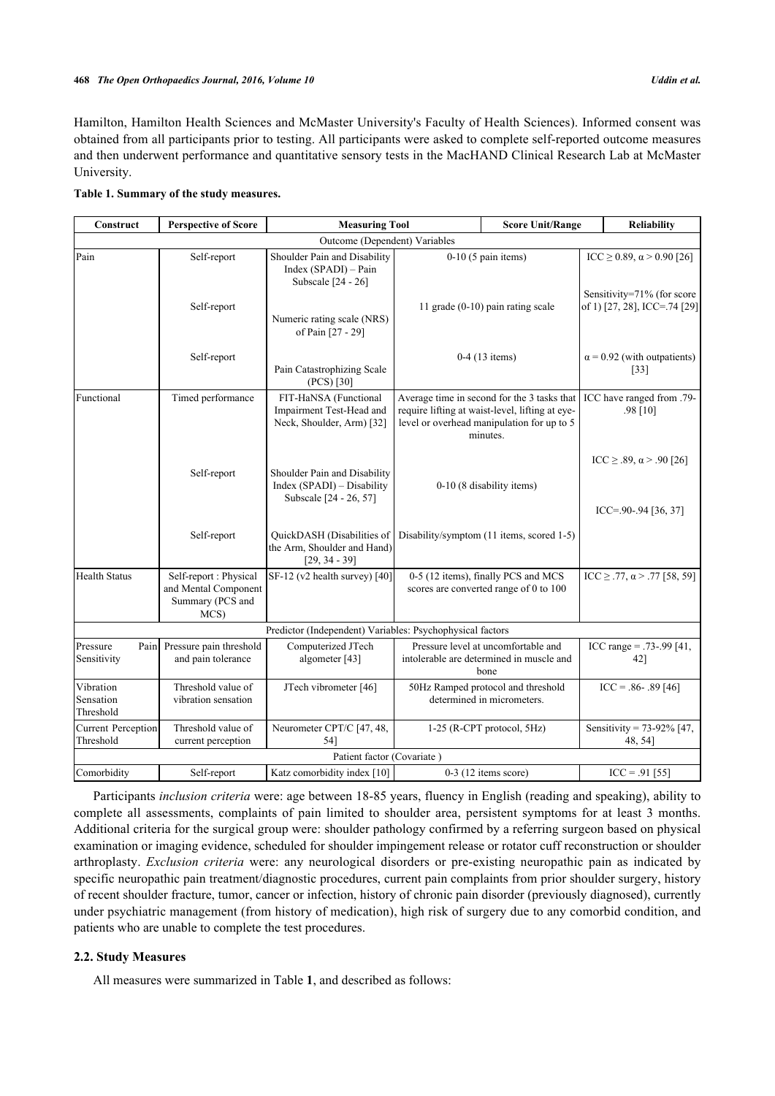Hamilton, Hamilton Health Sciences and McMaster University's Faculty of Health Sciences). Informed consent was obtained from all participants prior to testing. All participants were asked to complete self-reported outcome measures and then underwent performance and quantitative sensory tests in the MacHAND Clinical Research Lab at McMaster University.

<span id="page-2-0"></span>

|  | Table 1. Summary of the study measures. |  |  |
|--|-----------------------------------------|--|--|
|  |                                         |  |  |

| Construct                           | <b>Perspective of Score</b>                                                | <b>Measuring Tool</b>                                                                  |                                                                               | <b>Score Unit/Range</b>                                                                                                                                  |  | Reliability                                                 |  |
|-------------------------------------|----------------------------------------------------------------------------|----------------------------------------------------------------------------------------|-------------------------------------------------------------------------------|----------------------------------------------------------------------------------------------------------------------------------------------------------|--|-------------------------------------------------------------|--|
|                                     |                                                                            | Outcome (Dependent) Variables                                                          |                                                                               |                                                                                                                                                          |  |                                                             |  |
| Pain                                | Self-report                                                                | Shoulder Pain and Disability<br>Index (SPADI) – Pain<br>Subscale [24 - 26]             |                                                                               | $0-10$ (5 pain items)                                                                                                                                    |  | ICC $\ge$ 0.89, α > 0.90 [26]<br>Sensitivity=71% (for score |  |
| Self-report                         |                                                                            | 11 grade $(0-10)$ pain rating scale<br>Numeric rating scale (NRS)<br>of Pain [27 - 29] |                                                                               |                                                                                                                                                          |  | of 1) [27, 28], ICC=.74 [29]                                |  |
|                                     | Self-report                                                                | Pain Catastrophizing Scale<br>$(PCS)$ [30]                                             | $0-4$ (13 items)                                                              |                                                                                                                                                          |  | $\alpha$ = 0.92 (with outpatients)<br>$[33]$                |  |
| Functional                          | Timed performance                                                          | FIT-HaNSA (Functional<br>Impairment Test-Head and<br>Neck, Shoulder, Arm) [32]         |                                                                               | Average time in second for the 3 tasks that<br>require lifting at waist-level, lifting at eye-<br>level or overhead manipulation for up to 5<br>minutes. |  | ICC have ranged from .79-<br>$.98$ [10]                     |  |
| Self-report                         |                                                                            | Shoulder Pain and Disability<br>Index (SPADI) - Disability<br>Subscale [24 - 26, 57]   | 0-10 (8 disability items)                                                     |                                                                                                                                                          |  | ICC $\geq$ .89, α > .90 [26]<br>$ICC = 90 - 94$ [36, 37]    |  |
|                                     | Self-report                                                                | QuickDASH (Disabilities of<br>the Arm, Shoulder and Hand)<br>$[29, 34 - 39]$           | Disability/symptom (11 items, scored 1-5)                                     |                                                                                                                                                          |  |                                                             |  |
| <b>Health Status</b>                | Self-report : Physical<br>and Mental Component<br>Summary (PCS and<br>MCS) | $SF-12$ (v2 health survey) [40]                                                        | 0-5 (12 items), finally PCS and MCS<br>scores are converted range of 0 to 100 |                                                                                                                                                          |  | $ICC \ge .77, \alpha > .77$ [58, 59]                        |  |
|                                     |                                                                            | Predictor (Independent) Variables: Psychophysical factors                              |                                                                               |                                                                                                                                                          |  |                                                             |  |
| Pressure<br>Pain<br>Sensitivity     | Pressure pain threshold<br>and pain tolerance                              | Computerized JTech<br>algometer [43]                                                   |                                                                               | Pressure level at uncomfortable and<br>intolerable are determined in muscle and<br>bone                                                                  |  | ICC range = $.73 - .99$ [41,<br>42]                         |  |
| Vibration<br>Sensation<br>Threshold | Threshold value of<br>vibration sensation                                  | JTech vibrometer [46]                                                                  |                                                                               | 50Hz Ramped protocol and threshold<br>determined in micrometers.                                                                                         |  | $ICC = .86 - .89 [46]$                                      |  |
| Current Perception<br>Threshold     | Threshold value of<br>current perception                                   | Neurometer CPT/C [47, 48,<br>54]                                                       |                                                                               | $1-25$ (R-CPT protocol, $5Hz$ )                                                                                                                          |  | Sensitivity = $73-92\%$ [47,<br>48, 54]                     |  |
|                                     |                                                                            | Patient factor (Covariate)                                                             |                                                                               |                                                                                                                                                          |  |                                                             |  |
| Comorbidity                         | Self-report                                                                | Katz comorbidity index [10]                                                            |                                                                               | $0-3$ (12 items score)                                                                                                                                   |  | $ICC = .91 [55]$                                            |  |

Participants *inclusion criteria* were: age between 18-85 years, fluency in English (reading and speaking), ability to complete all assessments, complaints of pain limited to shoulder area, persistent symptoms for at least 3 months. Additional criteria for the surgical group were: shoulder pathology confirmed by a referring surgeon based on physical examination or imaging evidence, scheduled for shoulder impingement release or rotator cuff reconstruction or shoulder arthroplasty. *Exclusion criteria* were: any neurological disorders or pre-existing neuropathic pain as indicated by specific neuropathic pain treatment/diagnostic procedures, current pain complaints from prior shoulder surgery, history of recent shoulder fracture, tumor, cancer or infection, history of chronic pain disorder (previously diagnosed), currently under psychiatric management (from history of medication), high risk of surgery due to any comorbid condition, and patients who are unable to complete the test procedures.

#### **2.2. Study Measures**

All measures were summarized in Table **[1](#page-2-0)**, and described as follows: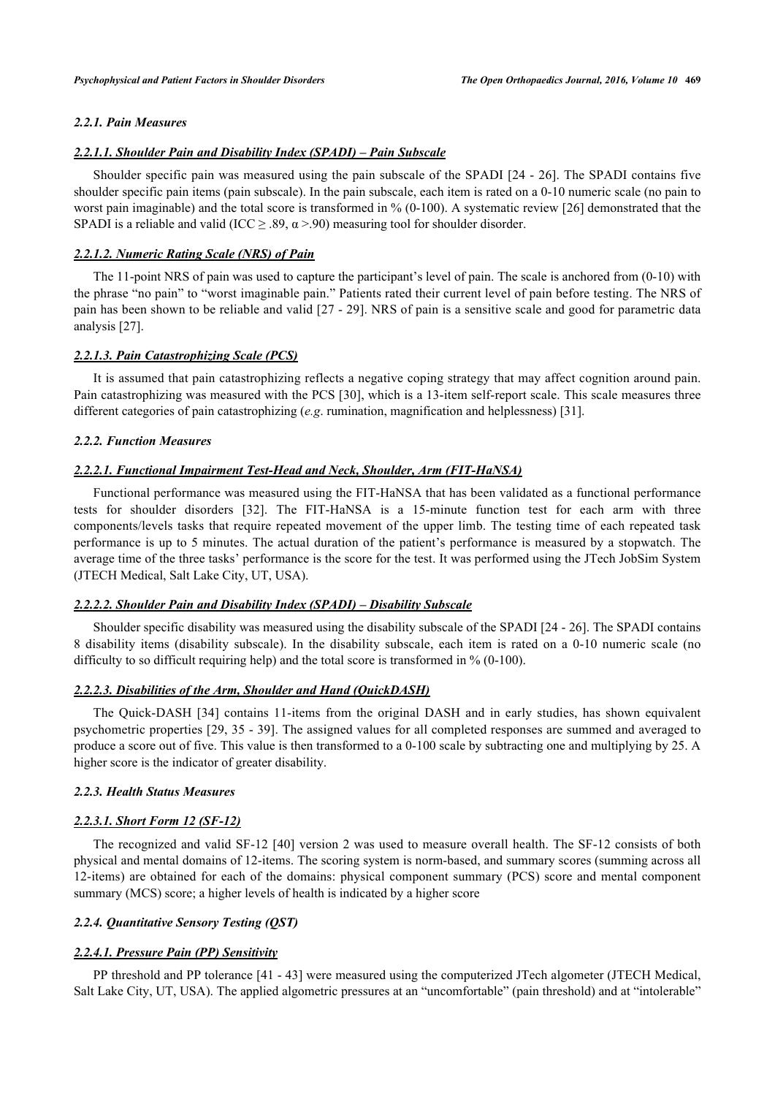## *2.2.1. Pain Measures*

#### *2.2.1.1. Shoulder Pain and Disability Index (SPADI) – Pain Subscale*

Shoulder specific pain was measured using the pain subscale of the SPADI [[24](#page-11-18) - [26](#page-11-19)]. The SPADI contains five shoulder specific pain items (pain subscale). In the pain subscale, each item is rated on a 0-10 numeric scale (no pain to worst pain imaginable) and the total score is transformed in % (0-100). A systematic review [\[26\]](#page-11-19) demonstrated that the SPADI is a reliable and valid (ICC  $\geq$  .89,  $\alpha$  >.90) measuring tool for shoulder disorder.

#### *2.2.1.2. Numeric Rating Scale (NRS) of Pain*

The 11-point NRS of pain was used to capture the participant's level of pain. The scale is anchored from (0-10) with the phrase "no pain" to "worst imaginable pain." Patients rated their current level of pain before testing. The NRS of pain has been shown to be reliable and valid [[27](#page-11-20) - [29](#page-12-0)]. NRS of pain is a sensitive scale and good for parametric data analysis [[27\]](#page-11-20).

#### *2.2.1.3. Pain Catastrophizing Scale (PCS)*

It is assumed that pain catastrophizing reflects a negative coping strategy that may affect cognition around pain. Pain catastrophizing was measured with the PCS [[30](#page-12-1)], which is a 13-item self-report scale. This scale measures three different categories of pain catastrophizing (*e.g*. rumination, magnification and helplessness) [[31\]](#page-12-15).

#### *2.2.2. Function Measures*

#### *2.2.2.1. Functional Impairment Test-Head and Neck, Shoulder, Arm (FIT-HaNSA)*

Functional performance was measured using the FIT-HaNSA that has been validated as a functional performance tests for shoulder disorders[[32\]](#page-12-4). The FIT-HaNSA is a 15-minute function test for each arm with three components/levels tasks that require repeated movement of the upper limb. The testing time of each repeated task performance is up to 5 minutes. The actual duration of the patient's performance is measured by a stopwatch. The average time of the three tasks' performance is the score for the test. It was performed using the JTech JobSim System (JTECH Medical, Salt Lake City, UT, USA).

#### *2.2.2.2. Shoulder Pain and Disability Index (SPADI) – Disability Subscale*

Shoulder specific disability was measured using the disability subscale of the SPADI [[24](#page-11-18) - [26](#page-11-19)]. The SPADI contains 8 disability items (disability subscale). In the disability subscale, each item is rated on a 0-10 numeric scale (no difficulty to so difficult requiring help) and the total score is transformed in % (0-100).

## *2.2.2.3. Disabilities of the Arm, Shoulder and Hand (QuickDASH)*

The Quick-DASH[[34](#page-12-5)] contains 11-items from the original DASH and in early studies, has shown equivalent psychometric properties [\[29](#page-12-0), [35](#page-12-16) - [39\]](#page-12-6). The assigned values for all completed responses are summed and averaged to produce a score out of five. This value is then transformed to a 0-100 scale by subtracting one and multiplying by 25. A higher score is the indicator of greater disability.

#### *2.2.3. Health Status Measures*

#### *2.2.3.1. Short Form 12 (SF-12)*

The recognized and valid SF-12 [[40](#page-12-9)] version 2 was used to measure overall health. The SF-12 consists of both physical and mental domains of 12-items. The scoring system is norm-based, and summary scores (summing across all 12-items) are obtained for each of the domains: physical component summary (PCS) score and mental component summary (MCS) score; a higher levels of health is indicated by a higher score

#### *2.2.4. Quantitative Sensory Testing (QST)*

#### *2.2.4.1. Pressure Pain (PP) Sensitivity*

PP threshold and PP tolerance [\[41](#page-12-11) - [43](#page-12-10)] were measured using the computerized JTech algometer (JTECH Medical, Salt Lake City, UT, USA). The applied algometric pressures at an "uncomfortable" (pain threshold) and at "intolerable"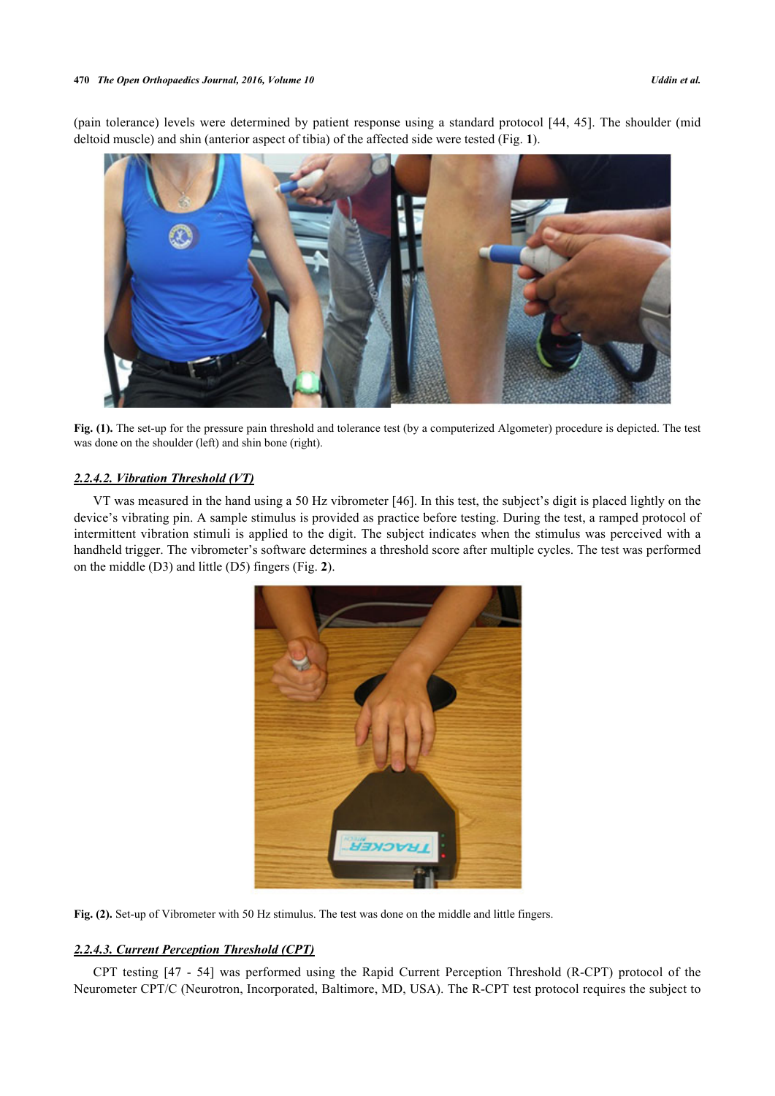(pain tolerance) levels were determined by patient response using a standard protocol [[44,](#page-12-17) [45](#page-12-18)]. The shoulder (mid deltoid muscle) and shin (anterior aspect of tibia) of the affected side were tested (Fig. **[1](#page-4-0)**).

<span id="page-4-0"></span>

**Fig. (1).** The set-up for the pressure pain threshold and tolerance test (by a computerized Algometer) procedure is depicted. The test was done on the shoulder (left) and shin bone (right).

## *2.2.4.2. Vibration Threshold (VT)*

<span id="page-4-1"></span>VT was measured in the hand using a 50 Hz vibrometer [[46\]](#page-12-13). In this test, the subject's digit is placed lightly on the device's vibrating pin. A sample stimulus is provided as practice before testing. During the test, a ramped protocol of intermittent vibration stimuli is applied to the digit. The subject indicates when the stimulus was perceived with a handheld trigger. The vibrometer's software determines a threshold score after multiple cycles. The test was performed on the middle (D3) and little (D5) fingers (Fig. **[2](#page-4-1)**).



Fig. (2). Set-up of Vibrometer with 50 Hz stimulus. The test was done on the middle and little fingers.

## *2.2.4.3. Current Perception Threshold (CPT)*

CPT testing [\[47](#page-12-14) - [54](#page-13-4)] was performed using the Rapid Current Perception Threshold (R-CPT) protocol of the Neurometer CPT/C (Neurotron, Incorporated, Baltimore, MD, USA). The R-CPT test protocol requires the subject to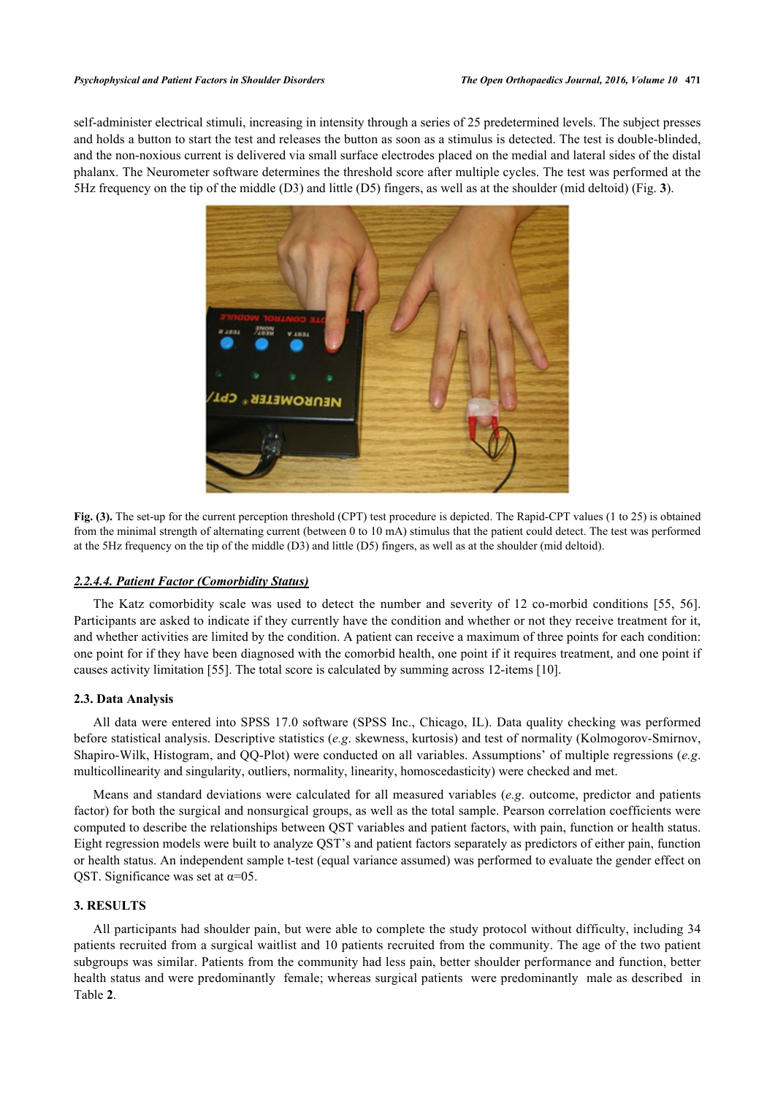<span id="page-5-0"></span>self-administer electrical stimuli, increasing in intensity through a series of 25 predetermined levels. The subject presses and holds a button to start the test and releases the button as soon as a stimulus is detected. The test is double-blinded, and the non-noxious current is delivered via small surface electrodes placed on the medial and lateral sides of the distal phalanx. The Neurometer software determines the threshold score after multiple cycles. The test was performed at the 5Hz frequency on the tip of the middle (D3) and little (D5) fingers, as well as at the shoulder (mid deltoid) (Fig. **[3](#page-5-0)**).



**Fig. (3).** The set-up for the current perception threshold (CPT) test procedure is depicted. The Rapid-CPT values (1 to 25) is obtained from the minimal strength of alternating current (between 0 to 10 mA) stimulus that the patient could detect. The test was performed at the 5Hz frequency on the tip of the middle (D3) and little (D5) fingers, as well as at the shoulder (mid deltoid).

#### *2.2.4.4. Patient Factor (Comorbidity Status)*

The Katz comorbidity scale was used to detect the number and severity of 12 co-morbid conditions[[55,](#page-13-5) [56\]](#page-13-6). Participants are asked to indicate if they currently have the condition and whether or not they receive treatment for it, and whether activities are limited by the condition. A patient can receive a maximum of three points for each condition: one point for if they have been diagnosed with the comorbid health, one point if it requires treatment, and one point if causes activity limitation [[55\]](#page-13-5). The total score is calculated by summing across 12-items [[10\]](#page-11-4).

#### **2.3. Data Analysis**

All data were entered into SPSS 17.0 software (SPSS Inc., Chicago, IL). Data quality checking was performed before statistical analysis. Descriptive statistics (*e.g*. skewness, kurtosis) and test of normality (Kolmogorov-Smirnov, Shapiro-Wilk, Histogram, and QQ-Plot) were conducted on all variables. Assumptions' of multiple regressions (*e.g*. multicollinearity and singularity, outliers, normality, linearity, homoscedasticity) were checked and met.

Means and standard deviations were calculated for all measured variables (*e.g*. outcome, predictor and patients factor) for both the surgical and nonsurgical groups, as well as the total sample. Pearson correlation coefficients were computed to describe the relationships between QST variables and patient factors, with pain, function or health status. Eight regression models were built to analyze QST's and patient factors separately as predictors of either pain, function or health status. An independent sample t-test (equal variance assumed) was performed to evaluate the gender effect on QST. Significance was set at  $\alpha$ =05.

## **3. RESULTS**

<span id="page-5-1"></span>All participants had shoulder pain, but were able to complete the study protocol without difficulty, including 34 patients recruited from a surgical waitlist and 10 patients recruited from the community. The age of the two patient subgroups was similar. Patients from the community had less pain, better shoulder performance and function, better health status and were predominantly female; whereas surgical patients were predominantly male as described in Table **[2](#page-5-1)**.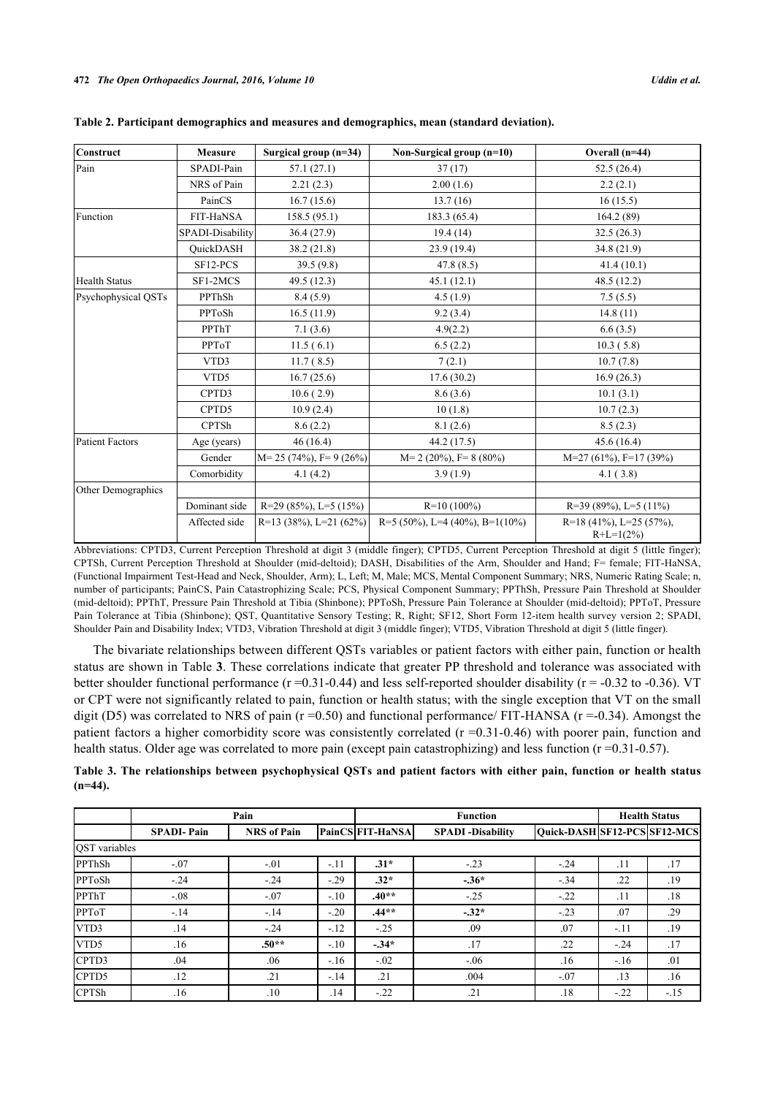| Construct            | <b>Measure</b>   | Surgical group $(n=34)$      | Non-Surgical group (n=10)      | Overall $(n=44)$                           |
|----------------------|------------------|------------------------------|--------------------------------|--------------------------------------------|
| Pain                 | SPADI-Pain       | 57.1 (27.1)                  | 37(17)                         | 52.5(26.4)                                 |
|                      | NRS of Pain      | 2.21(2.3)                    | 2.00(1.6)                      | 2.2(2.1)                                   |
|                      | PainCS           | 16.7(15.6)                   | 13.7(16)                       | 16(15.5)                                   |
| Function             | FIT-HaNSA        | 158.5(95.1)                  | 183.3 (65.4)                   | 164.2(89)                                  |
|                      | SPADI-Disability | 36.4(27.9)                   | 19.4(14)                       | 32.5(26.3)                                 |
|                      | <b>OuickDASH</b> | 38.2(21.8)                   | 23.9(19.4)                     | 34.8(21.9)                                 |
|                      | SF12-PCS         | 39.5(9.8)                    | 47.8(8.5)                      | 41.4(10.1)                                 |
| <b>Health Status</b> | SF1-2MCS         | 49.5 (12.3)                  | 45.1(12.1)                     | 48.5(12.2)                                 |
| Psychophysical OSTs  | PPThSh           | 8.4(5.9)                     | 4.5(1.9)                       | 7.5(5.5)                                   |
|                      | PPToSh           | 16.5(11.9)                   | 9.2(3.4)                       | 14.8(11)                                   |
|                      | PPThT            | 7.1(3.6)                     | 4.9(2.2)                       | 6.6(3.5)                                   |
|                      | PPToT            | 11.5(6.1)                    | 6.5(2.2)                       | 10.3(5.8)                                  |
|                      | VTD3             | 11.7(8.5)                    | 7(2.1)                         | 10.7(7.8)                                  |
|                      | VTD5             | 16.7(25.6)                   | 17.6(30.2)                     | 16.9(26.3)                                 |
|                      | CPTD3            | 10.6(2.9)                    | 8.6(3.6)                       | 10.1(3.1)                                  |
|                      | CPTD5            | 10.9(2.4)                    | 10(1.8)                        | 10.7(2.3)                                  |
|                      | <b>CPTSh</b>     | 8.6(2.2)                     | 8.1(2.6)                       | 8.5(2.3)                                   |
| Patient Factors      | Age (years)      | 46(16.4)                     | 44.2 (17.5)                    | 45.6(16.4)                                 |
|                      | Gender           | $M = 25 (74\%)$ , F= 9 (26%) | $M=2$ (20%), $F=8$ (80%)       | $M=27(61\%)$ , F=17(39%)                   |
|                      | Comorbidity      | 4.1(4.2)                     | 3.9(1.9)                       | 4.1(3.8)                                   |
| Other Demographics   |                  |                              |                                |                                            |
|                      | Dominant side    | $R=29(85\%)$ , L=5 (15%)     | $R=10(100\%)$                  | $R=39(89\%)$ , L=5 (11%)                   |
|                      | Affected side    | R=13 (38%), L=21 (62%)       | R=5 (50%), L=4 (40%), B=1(10%) | $R=18(41\%)$ , L=25 (57%),<br>$R+L=1(2\%)$ |

|  | Table 2. Participant demographics and measures and demographics, mean (standard deviation). |  |  |
|--|---------------------------------------------------------------------------------------------|--|--|
|  |                                                                                             |  |  |

Abbreviations: CPTD3, Current Perception Threshold at digit 3 (middle finger); CPTD5, Current Perception Threshold at digit 5 (little finger); CPTSh, Current Perception Threshold at Shoulder (mid-deltoid); DASH, Disabilities of the Arm, Shoulder and Hand; F= female; FIT-HaNSA, (Functional Impairment Test-Head and Neck, Shoulder, Arm); L, Left; M, Male; MCS, Mental Component Summary; NRS, Numeric Rating Scale; n, number of participants; PainCS, Pain Catastrophizing Scale; PCS, Physical Component Summary; PPThSh, Pressure Pain Threshold at Shoulder (mid-deltoid); PPThT, Pressure Pain Threshold at Tibia (Shinbone); PPToSh, Pressure Pain Tolerance at Shoulder (mid-deltoid); PPToT, Pressure Pain Tolerance at Tibia (Shinbone); QST, Quantitative Sensory Testing; R, Right; SF12, Short Form 12-item health survey version 2; SPADI, Shoulder Pain and Disability Index; VTD3, Vibration Threshold at digit 3 (middle finger); VTD5, Vibration Threshold at digit 5 (little finger).

The bivariate relationships between different QSTs variables or patient factors with either pain, function or health status are shown in Table **[3](#page-6-0)**. These correlations indicate that greater PP threshold and tolerance was associated with better shoulder functional performance  $(r = 0.31 - 0.44)$  and less self-reported shoulder disability  $(r = -0.32$  to  $-0.36)$ . VT or CPT were not significantly related to pain, function or health status; with the single exception that VT on the small digit (D5) was correlated to NRS of pain ( $r = 0.50$ ) and functional performance/ FIT-HANSA ( $r = -0.34$ ). Amongst the patient factors a higher comorbidity score was consistently correlated  $(r = 0.31 - 0.46)$  with poorer pain, function and health status. Older age was correlated to more pain (except pain catastrophizing) and less function (r =0.31-0.57).

<span id="page-6-0"></span>

|            | Table 3. The relationships between psychophysical QSTs and patient factors with either pain, function or health status |  |  |  |  |  |  |
|------------|------------------------------------------------------------------------------------------------------------------------|--|--|--|--|--|--|
| $(n=44)$ . |                                                                                                                        |  |  |  |  |  |  |

|                      |                   | Pain               |        |                         | <b>Function</b>          | <b>Health Status</b>         |        |       |
|----------------------|-------------------|--------------------|--------|-------------------------|--------------------------|------------------------------|--------|-------|
|                      | <b>SPADI-Pain</b> | <b>NRS</b> of Pain |        | <b>PainCS FIT-HaNSA</b> | <b>SPADI</b> -Disability | Quick-DASH SF12-PCS SF12-MCS |        |       |
| <b>OST</b> variables |                   |                    |        |                         |                          |                              |        |       |
| PPThSh               | $-.07$            | $-.01$             | $-.11$ | $.31*$                  | $-.23$                   | $-.24$                       | .11    | .17   |
| PPToSh               | $-.24$            | $-.24$             | $-.29$ | $.32*$                  | $-36*$                   | $-.34$                       | .22    | .19   |
| PPThT                | $-.08$            | $-.07$             | $-.10$ | $.40**$                 | $-.25$                   | $-.22$                       | .11    | .18   |
| PPToT                | $-14$             | $-.14$             | $-.20$ | $.44**$                 | $-32*$                   | $-.23$                       | .07    | .29   |
| VTD3                 | .14               | $-.24$             | $-.12$ | $-.25$                  | .09                      | .07                          | $-.11$ | .19   |
| VTD5                 | .16               | $.50**$            | $-.10$ | $-34*$                  | .17                      | .22                          | $-.24$ | .17   |
| CPTD3                | .04               | .06                | $-.16$ | $-.02$                  | $-0.06$                  | .16                          | $-16$  | .01   |
| CPTD5                | .12               | .21                | $-.14$ | .21                     | .004                     | $-.07$                       | .13    | .16   |
| <b>CPTSh</b>         | .16               | .10                | .14    | $-.22$                  | .21                      | .18                          | $-.22$ | $-15$ |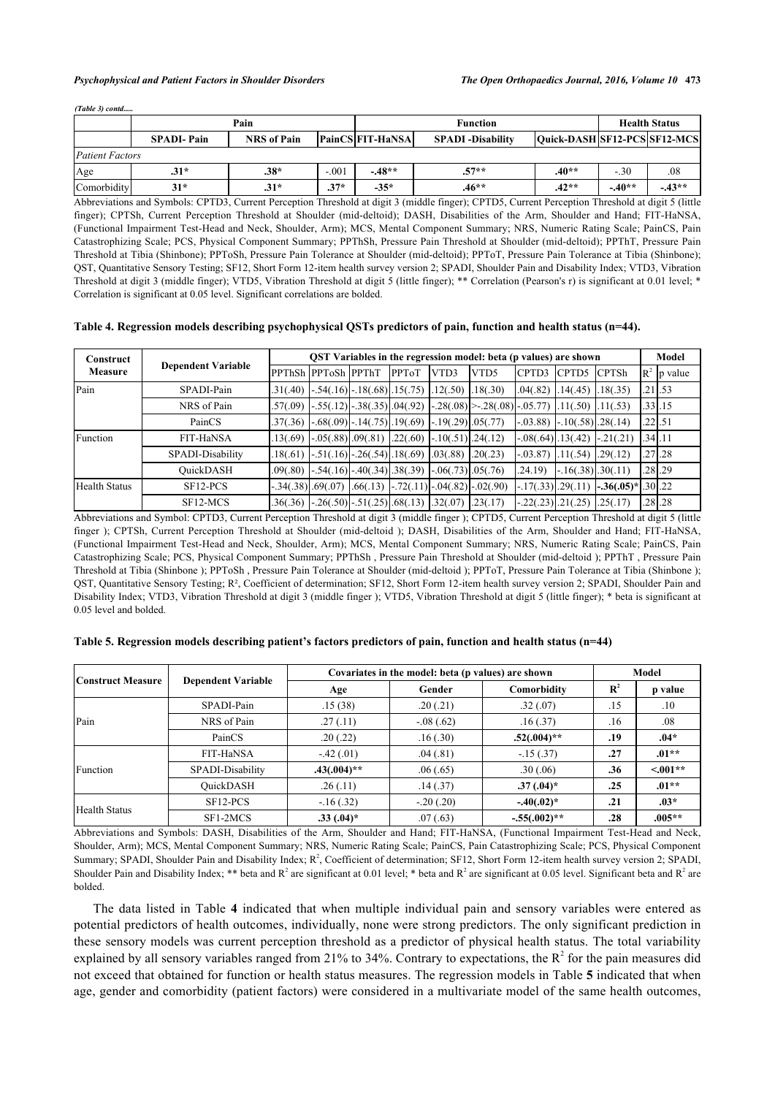#### *Psychophysical and Patient Factors in Shoulder Disorders The Open Orthopaedics Journal, 2016, Volume 10* **473**

| $(Table 3)$ contd      |                   |                    |         |                                                                                      |                 |                      |         |         |
|------------------------|-------------------|--------------------|---------|--------------------------------------------------------------------------------------|-----------------|----------------------|---------|---------|
|                        |                   | Pain               |         |                                                                                      | <b>Function</b> | <b>Health Status</b> |         |         |
|                        | <b>SPADI-Pain</b> | <b>NRS</b> of Pain |         | <b>PainCS FIT-HaNSA</b><br> Quick-DASH SF12-PCS SF12-MCS<br><b>SPADI</b> -Disability |                 |                      |         |         |
| <b>Patient Factors</b> |                   |                    |         |                                                                                      |                 |                      |         |         |
| Age                    | $.31*$            | $.38*$             | $-.001$ | $-48**$                                                                              | $57**$          | $.40**$              | $-.30$  | .08     |
| Comorbidity            | $31*$             | $.31*$             | $.37*$  | $-35*$                                                                               | $.46**$         | $.42**$              | $-40**$ | $-43**$ |

Abbreviations and Symbols: CPTD3, Current Perception Threshold at digit 3 (middle finger); CPTD5, Current Perception Threshold at digit 5 (little finger); CPTSh, Current Perception Threshold at Shoulder (mid-deltoid); DASH, Disabilities of the Arm, Shoulder and Hand; FIT-HaNSA, (Functional Impairment Test-Head and Neck, Shoulder, Arm); MCS, Mental Component Summary; NRS, Numeric Rating Scale; PainCS, Pain Catastrophizing Scale; PCS, Physical Component Summary; PPThSh, Pressure Pain Threshold at Shoulder (mid-deltoid); PPThT, Pressure Pain Threshold at Tibia (Shinbone); PPToSh, Pressure Pain Tolerance at Shoulder (mid-deltoid); PPToT, Pressure Pain Tolerance at Tibia (Shinbone); QST, Quantitative Sensory Testing; SF12, Short Form 12-item health survey version 2; SPADI, Shoulder Pain and Disability Index; VTD3, Vibration Threshold at digit 3 (middle finger); VTD5, Vibration Threshold at digit 5 (little finger); \*\* Correlation (Pearson's r) is significant at 0.01 level; \* Correlation is significant at 0.05 level. Significant correlations are bolded.

#### <span id="page-7-0"></span>**Table 4. Regression models describing psychophysical QSTs predictors of pain, function and health status (n=44).**

| Construct            |                           | QST Variables in the regression model: beta (p values) are shown |                                                                       |  |              |                       |                                                                               |              | Model                             |                                             |  |                        |
|----------------------|---------------------------|------------------------------------------------------------------|-----------------------------------------------------------------------|--|--------------|-----------------------|-------------------------------------------------------------------------------|--------------|-----------------------------------|---------------------------------------------|--|------------------------|
| Measure              | <b>Dependent Variable</b> |                                                                  | IPPThSh IPPToSh IPPThT                                                |  | <b>PPToT</b> | VTD3                  | VTD5                                                                          | <b>CPTD3</b> | <b>CPTD5</b> CPTSh                |                                             |  | $\mathbb{R}^2$ p value |
| Pain                 | SPADI-Pain                |                                                                  | $.31(.40)$ $-.54(.16)$ $-.18(.68)$ $.15(.75)$                         |  |              | $.12(.50)$ $.18(.30)$ |                                                                               |              | $.04(.82)$ $.14(.45)$ $.18(.35)$  |                                             |  | $.21$ .53              |
|                      | NRS of Pain               |                                                                  | $.57(.09)$ $-.55(.12)$ $-.38(.35)$ $.04(.92)$                         |  |              |                       | $\vert .28(.08) \vert > .28(.08) \vert .05.77) \vert .11(.50) \vert .11(.53)$ |              |                                   |                                             |  | $.33$ .15              |
|                      | PainCS                    |                                                                  | $.37(.36)$ -.68(.09) -.14(.75) .19(.69)                               |  |              | $-.19(.29)$ .05(.77)  |                                                                               |              | $-.03.88$ $-.10(.58)$ $-.28(.14)$ |                                             |  | $.22$ .51              |
| Function             | FIT-HaNSA                 |                                                                  | $.13(.69)$ $-.05(.88)$ $.09(.81)$ $.22(.60)$                          |  |              | $-.10(.51)$ , 24(.12) |                                                                               |              |                                   | $-.21(.21)$                                 |  | .341.11                |
|                      | SPADI-Disability          |                                                                  | $.18(.61)$ - $.51(.16)$ - $.26(.54)$ $.18(.69)$ $.03(.88)$ $.20(.23)$ |  |              |                       |                                                                               |              | $-.03.87$ $.11(.54)$ $.29(.12)$   |                                             |  | $.27$ .28              |
|                      | QuickDASH                 |                                                                  | $.09(.80)$ -.54(.16) -.40(.34) .38(.39)                               |  |              | $-.06(.73)$ .05(.76)  |                                                                               | .24.19)      | $-16(.38)$ . 30(.11)              |                                             |  | $.28$ .29              |
| <b>Health Status</b> | SF12-PCS                  | $-.34(.38)$ .69(.07)                                             |                                                                       |  |              |                       | $.66(.13)$ $-.72(.11)$ $-.04(.82)$ $-.02(.90)$                                |              |                                   | $[-.17(.33)$ .29(.11) $[-.36(.05)*]$ .30.22 |  |                        |
|                      | SF12-MCS                  |                                                                  | $.36(.36)$ - $.26(.50)$ - $.51(.25)$ $.68(.13)$ $.32(.07)$ $.23(.17)$ |  |              |                       |                                                                               |              |                                   |                                             |  | $.28$ .28              |

Abbreviations and Symbol: CPTD3, Current Perception Threshold at digit 3 (middle finger ); CPTD5, Current Perception Threshold at digit 5 (little finger ); CPTSh, Current Perception Threshold at Shoulder (mid-deltoid ); DASH, Disabilities of the Arm, Shoulder and Hand; FIT-HaNSA, (Functional Impairment Test-Head and Neck, Shoulder, Arm); MCS, Mental Component Summary; NRS, Numeric Rating Scale; PainCS, Pain Catastrophizing Scale; PCS, Physical Component Summary; PPThSh , Pressure Pain Threshold at Shoulder (mid-deltoid ); PPThT , Pressure Pain Threshold at Tibia (Shinbone ); PPToSh , Pressure Pain Tolerance at Shoulder (mid-deltoid ); PPToT, Pressure Pain Tolerance at Tibia (Shinbone ); QST, Quantitative Sensory Testing; R², Coefficient of determination; SF12, Short Form 12-item health survey version 2; SPADI, Shoulder Pain and Disability Index; VTD3, Vibration Threshold at digit 3 (middle finger ); VTD5, Vibration Threshold at digit 5 (little finger); \* beta is significant at 0.05 level and bolded.

#### **Construct Measure Dependent Variable Covariates in the model: beta (p values) are shown** Model Age **Gender Comorbidity**  $R^2$ **p value** Pain SPADI-Pain .15 (38) .20 (.21) .32 (.07) .15 .15 .10 NRS of Pain .27 (.11)  $.08(.62)$  .16 (.37) .16 .08 PainCS .20 (.22) .16 (.30) **.52(.004)\*\* .19 .04\*** Function FIT-HaNSA -.42 (.01) .04 (.81) -.15 (.37) **.27 .01\*\*** SPADI-Disability **.43(.004)**\*\* .06(.65) .30(.06) .36 <.001\*\* QuickDASH .26 (.11) .14 (.37) **.37 (.04)\* .25 .01\*\*** Health Status SF12-PCS -.16 (.32) -.20 (.20) **-.40(.02)\* .21 .03\*** SF1-2MCS **.33 (.04)\*** .07 (.63) **-.55(.002)\*\* .28 .005\*\***

#### <span id="page-7-1"></span>**Table 5. Regression models describing patient's factors predictors of pain, function and health status (n=44)**

Abbreviations and Symbols: DASH, Disabilities of the Arm, Shoulder and Hand; FIT-HaNSA, (Functional Impairment Test-Head and Neck, Shoulder, Arm); MCS, Mental Component Summary; NRS, Numeric Rating Scale; PainCS, Pain Catastrophizing Scale; PCS, Physical Component Summary; SPADI, Shoulder Pain and Disability Index; R<sup>2</sup>, Coefficient of determination; SF12, Short Form 12-item health survey version 2; SPADI, Shoulder Pain and Disability Index; \*\* beta and  $R^2$  are significant at 0.01 level; \* beta and  $R^2$  are significant at 0.05 level. Significant beta and  $R^2$  are bolded.

The data listed in Table**4** indicated that when multiple individual pain and sensory variables were entered as potential predictors of health outcomes, individually, none were strong predictors. The only significant prediction in these sensory models was current perception threshold as a predictor of physical health status. The total variability explained by all sensory variables ranged from 21% to 34%. Contrary to expectations, the  $R^2$  for the pain measures did not exceed that obtained for function or health status measures. The regression models in Table **[5](#page-7-1)** indicated that when age, gender and comorbidity (patient factors) were considered in a multivariate model of the same health outcomes,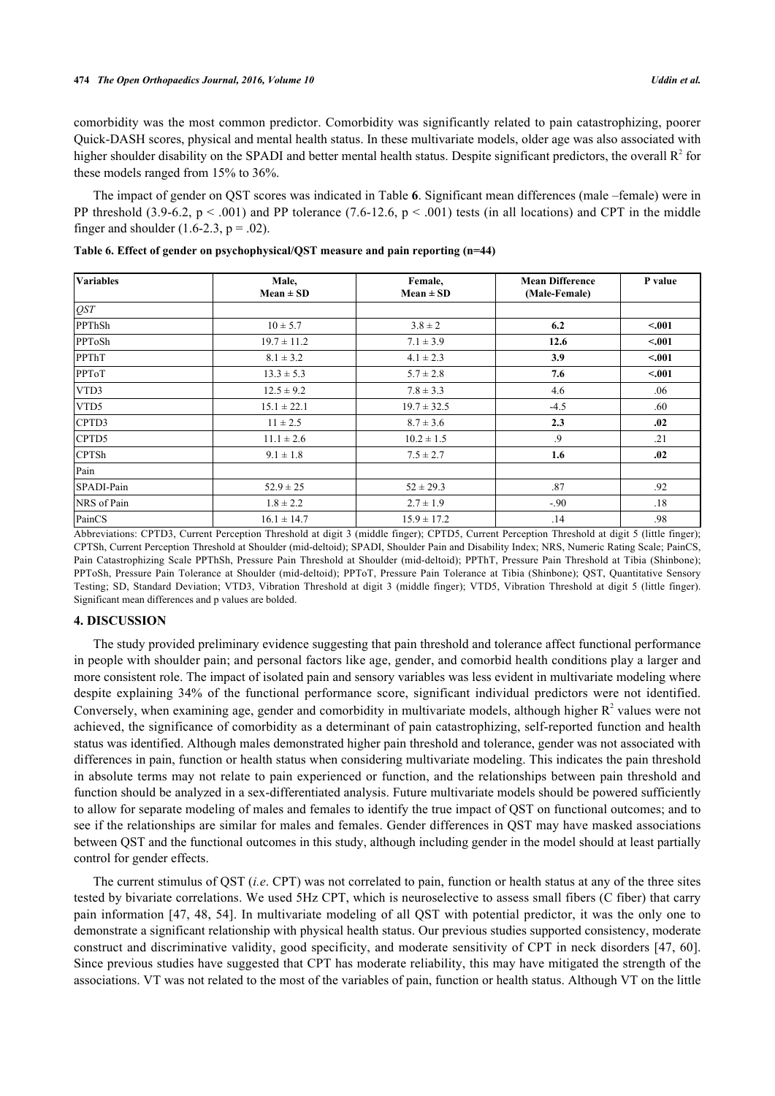comorbidity was the most common predictor. Comorbidity was significantly related to pain catastrophizing, poorer Quick-DASH scores, physical and mental health status. In these multivariate models, older age was also associated with higher shoulder disability on the SPADI and better mental health status. Despite significant predictors, the overall  $R^2$  for these models ranged from 15% to 36%.

The impact of gender on QST scores was indicated in Table **[6](#page-8-0)**. Significant mean differences (male –female) were in PP threshold (3.9-6.2,  $p < .001$ ) and PP tolerance (7.6-12.6,  $p < .001$ ) tests (in all locations) and CPT in the middle finger and shoulder  $(1.6-2.3, p = .02)$ .

| <b>Variables</b> | Male,<br>$Mean \pm SD$ | Female,<br>$Mean \pm SD$ | <b>Mean Difference</b><br>(Male-Female) | P value |
|------------------|------------------------|--------------------------|-----------------------------------------|---------|
| QST              |                        |                          |                                         |         |
| PPThSh           | $10 \pm 5.7$           | $3.8 \pm 2$              | 6.2                                     | < .001  |
| PPToSh           | $19.7 \pm 11.2$        | $7.1 \pm 3.9$            | 12.6                                    | < 0.01  |
| PPThT            | $8.1 \pm 3.2$          | $4.1 \pm 2.3$            | 3.9                                     | < .001  |
| PPToT            | $13.3 \pm 5.3$         | $5.7 \pm 2.8$            | 7.6                                     | < .001  |
| VTD3             | $12.5 \pm 9.2$         | $7.8 \pm 3.3$            | 4.6                                     | .06     |
| VTD5             | $15.1 \pm 22.1$        | $19.7 \pm 32.5$          | $-4.5$                                  | .60     |
| CPTD3            | $11 \pm 2.5$           | $8.7 \pm 3.6$            | 2.3                                     | .02     |
| CPTD5            | $11.1 \pm 2.6$         | $10.2 \pm 1.5$           | .9                                      | .21     |
| <b>CPTSh</b>     | $9.1 \pm 1.8$          | $7.5 \pm 2.7$            | 1.6                                     | .02     |
| Pain             |                        |                          |                                         |         |
| SPADI-Pain       | $52.9 \pm 25$          | $52 \pm 29.3$            | .87                                     | .92     |
| NRS of Pain      | $1.8 \pm 2.2$          | $2.7 \pm 1.9$            | $-.90$                                  | .18     |
| PainCS           | $16.1 \pm 14.7$        | $15.9 \pm 17.2$          | .14                                     | .98     |

<span id="page-8-0"></span>**Table 6. Effect of gender on psychophysical/QST measure and pain reporting (n=44)**

Abbreviations: CPTD3, Current Perception Threshold at digit 3 (middle finger); CPTD5, Current Perception Threshold at digit 5 (little finger); CPTSh, Current Perception Threshold at Shoulder (mid-deltoid); SPADI, Shoulder Pain and Disability Index; NRS, Numeric Rating Scale; PainCS, Pain Catastrophizing Scale PPThSh, Pressure Pain Threshold at Shoulder (mid-deltoid); PPThT, Pressure Pain Threshold at Tibia (Shinbone); PPToSh, Pressure Pain Tolerance at Shoulder (mid-deltoid); PPToT, Pressure Pain Tolerance at Tibia (Shinbone); QST, Quantitative Sensory Testing; SD, Standard Deviation; VTD3, Vibration Threshold at digit 3 (middle finger); VTD5, Vibration Threshold at digit 5 (little finger). Significant mean differences and p values are bolded.

#### **4. DISCUSSION**

The study provided preliminary evidence suggesting that pain threshold and tolerance affect functional performance in people with shoulder pain; and personal factors like age, gender, and comorbid health conditions play a larger and more consistent role. The impact of isolated pain and sensory variables was less evident in multivariate modeling where despite explaining 34% of the functional performance score, significant individual predictors were not identified. Conversely, when examining age, gender and comorbidity in multivariate models, although higher  $R^2$  values were not achieved, the significance of comorbidity as a determinant of pain catastrophizing, self-reported function and health status was identified. Although males demonstrated higher pain threshold and tolerance, gender was not associated with differences in pain, function or health status when considering multivariate modeling. This indicates the pain threshold in absolute terms may not relate to pain experienced or function, and the relationships between pain threshold and function should be analyzed in a sex-differentiated analysis. Future multivariate models should be powered sufficiently to allow for separate modeling of males and females to identify the true impact of QST on functional outcomes; and to see if the relationships are similar for males and females. Gender differences in QST may have masked associations between QST and the functional outcomes in this study, although including gender in the model should at least partially control for gender effects.

The current stimulus of QST (*i.e*. CPT) was not correlated to pain, function or health status at any of the three sites tested by bivariate correlations. We used 5Hz CPT, which is neuroselective to assess small fibers (C fiber) that carry pain information [\[47](#page-12-14), [48,](#page-13-3) [54](#page-13-4)]. In multivariate modeling of all QST with potential predictor, it was the only one to demonstrate a significant relationship with physical health status. Our previous studies supported consistency, moderate construct and discriminative validity, good specificity, and moderate sensitivity of CPT in neck disorders [\[47](#page-12-14), [60\]](#page-13-7). Since previous studies have suggested that CPT has moderate reliability, this may have mitigated the strength of the associations. VT was not related to the most of the variables of pain, function or health status. Although VT on the little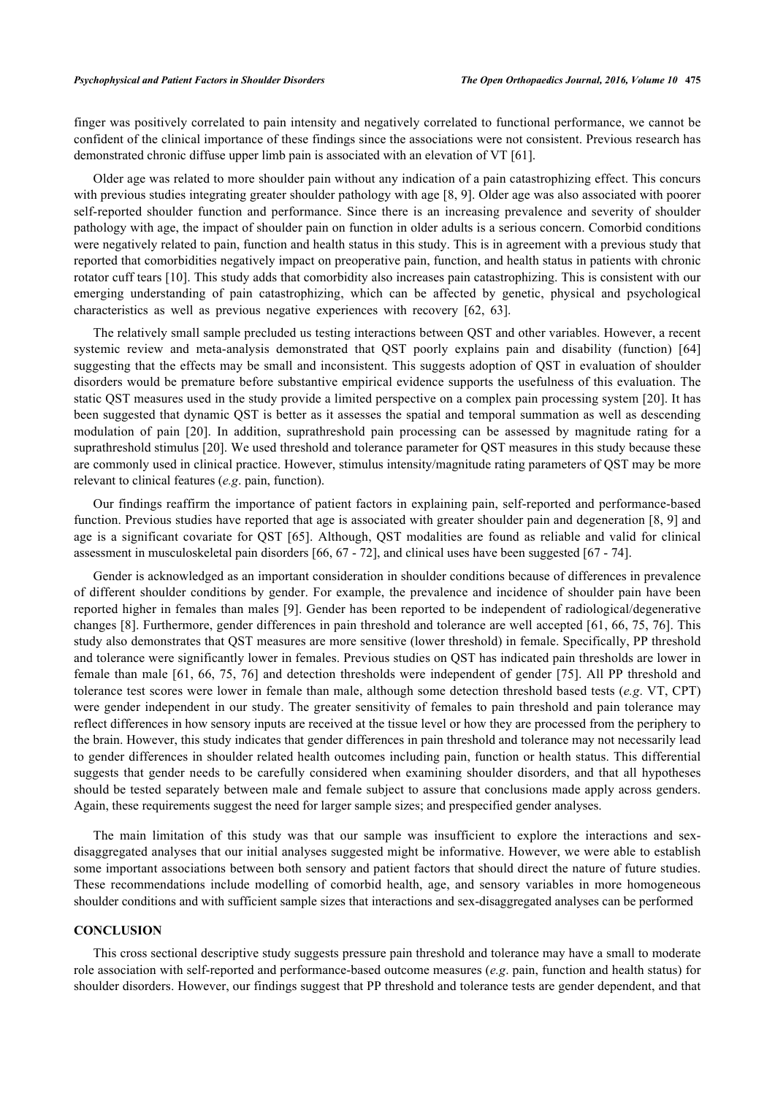finger was positively correlated to pain intensity and negatively correlated to functional performance, we cannot be confident of the clinical importance of these findings since the associations were not consistent. Previous research has demonstrated chronic diffuse upper limb pain is associated with an elevation of VT [[61\]](#page-13-8).

Older age was related to more shoulder pain without any indication of a pain catastrophizing effect. This concurs with previous studies integrating greater shoulder pathology with age [[8,](#page-11-2) [9](#page-11-3)]. Older age was also associated with poorer self-reported shoulder function and performance. Since there is an increasing prevalence and severity of shoulder pathology with age, the impact of shoulder pain on function in older adults is a serious concern. Comorbid conditions were negatively related to pain, function and health status in this study. This is in agreement with a previous study that reported that comorbidities negatively impact on preoperative pain, function, and health status in patients with chronic rotator cuff tears [\[10\]](#page-11-4). This study adds that comorbidity also increases pain catastrophizing. This is consistent with our emerging understanding of pain catastrophizing, which can be affected by genetic, physical and psychological characteristics as well as previous negative experiences with recovery[[62,](#page-13-9) [63\]](#page-13-10).

The relatively small sample precluded us testing interactions between QST and other variables. However, a recent systemic review and meta-analysis demonstrated that QST poorly explains pain and disability (function)[[64](#page-13-11)] suggesting that the effects may be small and inconsistent. This suggests adoption of QST in evaluation of shoulder disorders would be premature before substantive empirical evidence supports the usefulness of this evaluation. The static QST measures used in the study provide a limited perspective on a complex pain processing system [\[20](#page-11-14)]. It has been suggested that dynamic QST is better as it assesses the spatial and temporal summation as well as descending modulation of pain [\[20](#page-11-14)]. In addition, suprathreshold pain processing can be assessed by magnitude rating for a suprathreshold stimulus [[20\]](#page-11-14). We used threshold and tolerance parameter for QST measures in this study because these are commonly used in clinical practice. However, stimulus intensity/magnitude rating parameters of QST may be more relevant to clinical features (*e.g*. pain, function).

Our findings reaffirm the importance of patient factors in explaining pain, self-reported and performance-based function. Previous studies have reported that age is associated with greater shoulder pain and degeneration [[8](#page-11-2), [9\]](#page-11-3) and age is a significant covariate for QST [\[65\]](#page-13-12). Although, QST modalities are found as reliable and valid for clinical assessment in musculoskeletal pain disorders [\[66](#page-13-13), [67](#page-14-0) - [72](#page-14-1)], and clinical uses have been suggested [\[67](#page-14-0) - [74\]](#page-14-2).

Gender is acknowledged as an important consideration in shoulder conditions because of differences in prevalence of different shoulder conditions by gender. For example, the prevalence and incidence of shoulder pain have been reported higher in females than males [[9](#page-11-3)]. Gender has been reported to be independent of radiological/degenerative changes [[8](#page-11-2)]. Furthermore, gender differences in pain threshold and tolerance are well accepted [\[61](#page-13-8), [66](#page-13-13), [75,](#page-14-3) [76\]](#page-14-4). This study also demonstrates that QST measures are more sensitive (lower threshold) in female. Specifically, PP threshold and tolerance were significantly lower in females. Previous studies on QST has indicated pain thresholds are lower in female than male [[61](#page-13-8), [66,](#page-13-13) [75,](#page-14-3) [76](#page-14-4)] and detection thresholds were independent of gender [[75](#page-14-3)]. All PP threshold and tolerance test scores were lower in female than male, although some detection threshold based tests (*e.g*. VT, CPT) were gender independent in our study. The greater sensitivity of females to pain threshold and pain tolerance may reflect differences in how sensory inputs are received at the tissue level or how they are processed from the periphery to the brain. However, this study indicates that gender differences in pain threshold and tolerance may not necessarily lead to gender differences in shoulder related health outcomes including pain, function or health status. This differential suggests that gender needs to be carefully considered when examining shoulder disorders, and that all hypotheses should be tested separately between male and female subject to assure that conclusions made apply across genders. Again, these requirements suggest the need for larger sample sizes; and prespecified gender analyses.

The main limitation of this study was that our sample was insufficient to explore the interactions and sexdisaggregated analyses that our initial analyses suggested might be informative. However, we were able to establish some important associations between both sensory and patient factors that should direct the nature of future studies. These recommendations include modelling of comorbid health, age, and sensory variables in more homogeneous shoulder conditions and with sufficient sample sizes that interactions and sex-disaggregated analyses can be performed

#### **CONCLUSION**

This cross sectional descriptive study suggests pressure pain threshold and tolerance may have a small to moderate role association with self-reported and performance-based outcome measures (*e.g*. pain, function and health status) for shoulder disorders. However, our findings suggest that PP threshold and tolerance tests are gender dependent, and that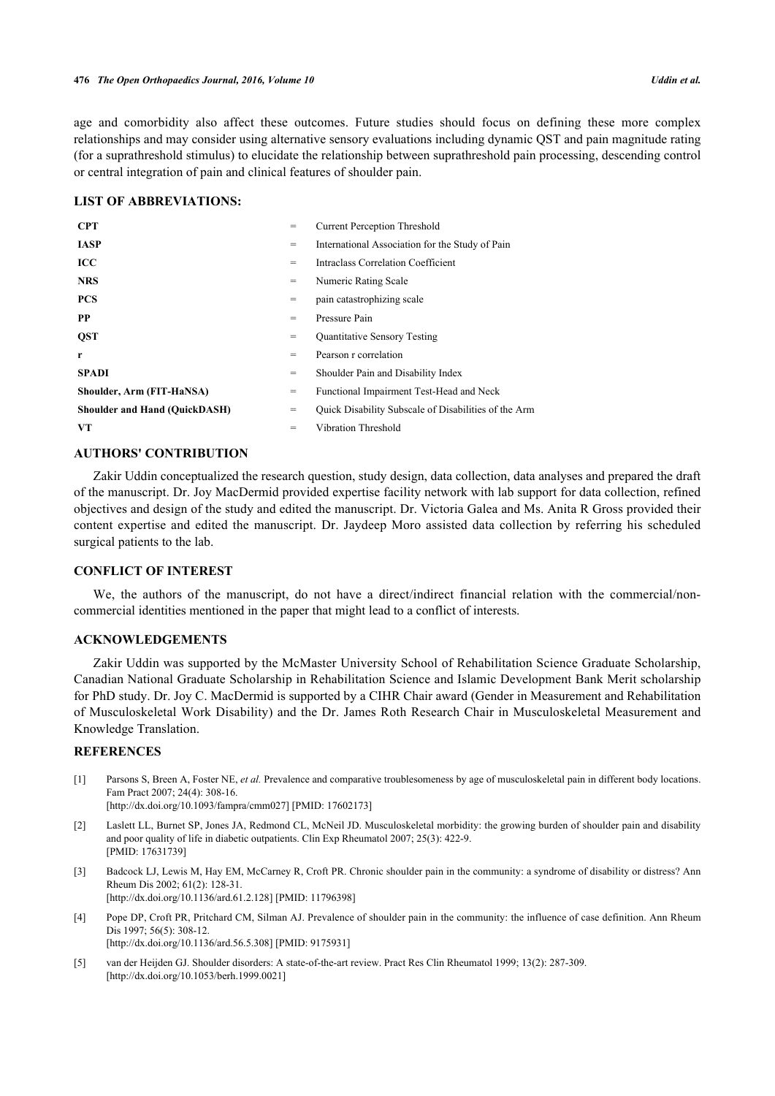age and comorbidity also affect these outcomes. Future studies should focus on defining these more complex relationships and may consider using alternative sensory evaluations including dynamic QST and pain magnitude rating (for a suprathreshold stimulus) to elucidate the relationship between suprathreshold pain processing, descending control or central integration of pain and clinical features of shoulder pain.

#### **LIST OF ABBREVIATIONS:**

| <b>CPT</b>                           | $=$ | <b>Current Perception Threshold</b>                  |
|--------------------------------------|-----|------------------------------------------------------|
| <b>IASP</b>                          | $=$ | International Association for the Study of Pain      |
| <b>ICC</b>                           | $=$ | Intraclass Correlation Coefficient                   |
| <b>NRS</b>                           | $=$ | Numeric Rating Scale                                 |
| <b>PCS</b>                           | $=$ | pain catastrophizing scale                           |
| <b>PP</b>                            | $=$ | Pressure Pain                                        |
| <b>QST</b>                           | $=$ | Quantitative Sensory Testing                         |
| r                                    | $=$ | Pearson r correlation                                |
| <b>SPADI</b>                         | $=$ | Shoulder Pain and Disability Index                   |
| Shoulder, Arm (FIT-HaNSA)            | $=$ | Functional Impairment Test-Head and Neck             |
| <b>Shoulder and Hand (QuickDASH)</b> | $=$ | Quick Disability Subscale of Disabilities of the Arm |
| VT                                   | $=$ | Vibration Threshold                                  |

## **AUTHORS' CONTRIBUTION**

Zakir Uddin conceptualized the research question, study design, data collection, data analyses and prepared the draft of the manuscript. Dr. Joy MacDermid provided expertise facility network with lab support for data collection, refined objectives and design of the study and edited the manuscript. Dr. Victoria Galea and Ms. Anita R Gross provided their content expertise and edited the manuscript. Dr. Jaydeep Moro assisted data collection by referring his scheduled surgical patients to the lab.

#### **CONFLICT OF INTEREST**

We, the authors of the manuscript, do not have a direct/indirect financial relation with the commercial/noncommercial identities mentioned in the paper that might lead to a conflict of interests.

## **ACKNOWLEDGEMENTS**

Zakir Uddin was supported by the McMaster University School of Rehabilitation Science Graduate Scholarship, Canadian National Graduate Scholarship in Rehabilitation Science and Islamic Development Bank Merit scholarship for PhD study. Dr. Joy C. MacDermid is supported by a CIHR Chair award (Gender in Measurement and Rehabilitation of Musculoskeletal Work Disability) and the Dr. James Roth Research Chair in Musculoskeletal Measurement and Knowledge Translation.

#### **REFERENCES**

- <span id="page-10-0"></span>[1] Parsons S, Breen A, Foster NE, *et al.* Prevalence and comparative troublesomeness by age of musculoskeletal pain in different body locations. Fam Pract 2007; 24(4): 308-16. [\[http://dx.doi.org/10.1093/fampra/cmm027\]](http://dx.doi.org/10.1093/fampra/cmm027) [PMID: [17602173](http://www.ncbi.nlm.nih.gov/pubmed/17602173)]
- 
- <span id="page-10-1"></span>[2] Laslett LL, Burnet SP, Jones JA, Redmond CL, McNeil JD. Musculoskeletal morbidity: the growing burden of shoulder pain and disability and poor quality of life in diabetic outpatients. Clin Exp Rheumatol 2007; 25(3): 422-9. [PMID: [17631739\]](http://www.ncbi.nlm.nih.gov/pubmed/17631739)
- <span id="page-10-2"></span>[3] Badcock LJ, Lewis M, Hay EM, McCarney R, Croft PR. Chronic shoulder pain in the community: a syndrome of disability or distress? Ann Rheum Dis 2002; 61(2): 128-31. [\[http://dx.doi.org/10.1136/ard.61.2.128](http://dx.doi.org/10.1136/ard.61.2.128)] [PMID: [11796398\]](http://www.ncbi.nlm.nih.gov/pubmed/11796398)
- <span id="page-10-3"></span>[4] Pope DP, Croft PR, Pritchard CM, Silman AJ. Prevalence of shoulder pain in the community: the influence of case definition. Ann Rheum Dis 1997; 56(5): 308-12. [\[http://dx.doi.org/10.1136/ard.56.5.308](http://dx.doi.org/10.1136/ard.56.5.308)] [PMID: [9175931\]](http://www.ncbi.nlm.nih.gov/pubmed/9175931)
- <span id="page-10-4"></span>[5] van der Heijden GJ. Shoulder disorders: A state-of-the-art review. Pract Res Clin Rheumatol 1999; 13(2): 287-309. [\[http://dx.doi.org/10.1053/berh.1999.0021](http://dx.doi.org/10.1053/berh.1999.0021)]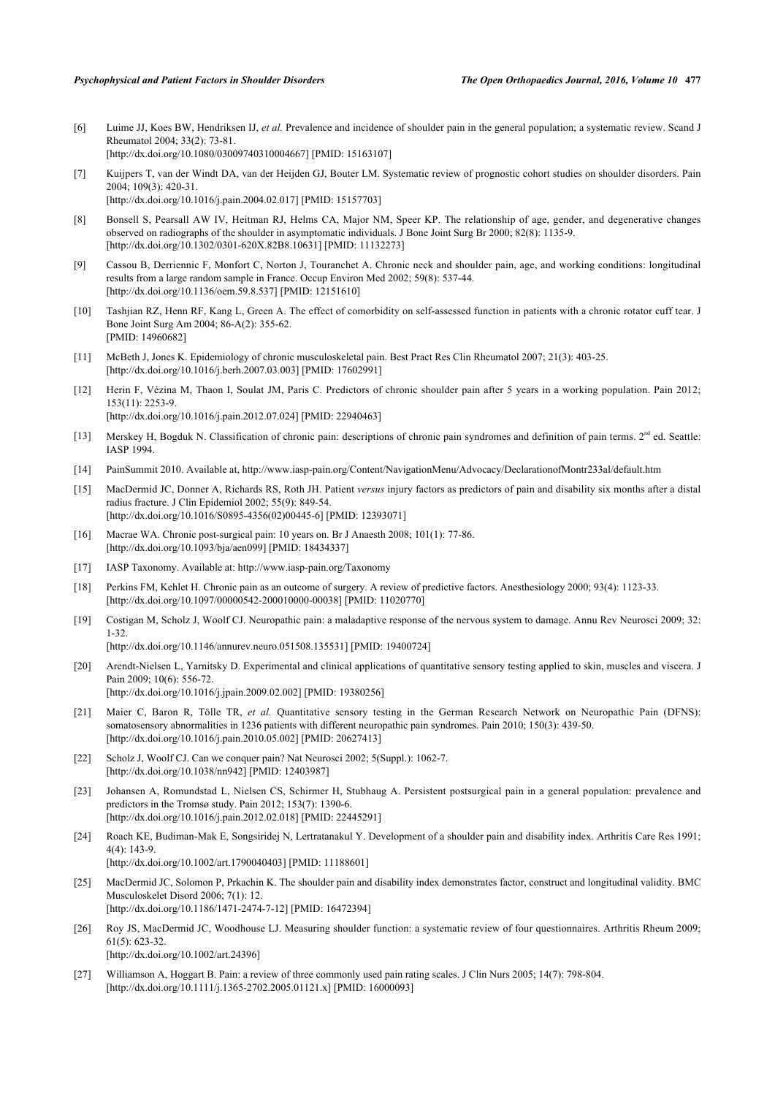- <span id="page-11-1"></span>[6] Luime JJ, Koes BW, Hendriksen IJ, *et al.* Prevalence and incidence of shoulder pain in the general population; a systematic review. Scand J Rheumatol 2004; 33(2): 73-81. [\[http://dx.doi.org/10.1080/03009740310004667\]](http://dx.doi.org/10.1080/03009740310004667) [PMID: [15163107](http://www.ncbi.nlm.nih.gov/pubmed/15163107)]
- <span id="page-11-0"></span>[7] Kuijpers T, van der Windt DA, van der Heijden GJ, Bouter LM. Systematic review of prognostic cohort studies on shoulder disorders. Pain 2004; 109(3): 420-31. [\[http://dx.doi.org/10.1016/j.pain.2004.02.017\]](http://dx.doi.org/10.1016/j.pain.2004.02.017) [PMID: [15157703](http://www.ncbi.nlm.nih.gov/pubmed/15157703)]
- <span id="page-11-2"></span>[8] Bonsell S, Pearsall AW IV, Heitman RJ, Helms CA, Major NM, Speer KP. The relationship of age, gender, and degenerative changes observed on radiographs of the shoulder in asymptomatic individuals. J Bone Joint Surg Br 2000; 82(8): 1135-9. [\[http://dx.doi.org/10.1302/0301-620X.82B8.10631\]](http://dx.doi.org/10.1302/0301-620X.82B8.10631) [PMID: [11132273](http://www.ncbi.nlm.nih.gov/pubmed/11132273)]
- <span id="page-11-3"></span>[9] Cassou B, Derriennic F, Monfort C, Norton J, Touranchet A. Chronic neck and shoulder pain, age, and working conditions: longitudinal results from a large random sample in France. Occup Environ Med 2002; 59(8): 537-44. [\[http://dx.doi.org/10.1136/oem.59.8.537\]](http://dx.doi.org/10.1136/oem.59.8.537) [PMID: [12151610](http://www.ncbi.nlm.nih.gov/pubmed/12151610)]
- <span id="page-11-4"></span>[10] Tashjian RZ, Henn RF, Kang L, Green A. The effect of comorbidity on self-assessed function in patients with a chronic rotator cuff tear. J Bone Joint Surg Am 2004; 86-A(2): 355-62. [PMID: [14960682\]](http://www.ncbi.nlm.nih.gov/pubmed/14960682)
- <span id="page-11-5"></span>[11] McBeth J, Jones K. Epidemiology of chronic musculoskeletal pain. Best Pract Res Clin Rheumatol 2007; 21(3): 403-25. [\[http://dx.doi.org/10.1016/j.berh.2007.03.003](http://dx.doi.org/10.1016/j.berh.2007.03.003)] [PMID: [17602991\]](http://www.ncbi.nlm.nih.gov/pubmed/17602991)
- <span id="page-11-6"></span>[12] Herin F, Vézina M, Thaon I, Soulat JM, Paris C. Predictors of chronic shoulder pain after 5 years in a working population. Pain 2012; 153(11): 2253-9. [\[http://dx.doi.org/10.1016/j.pain.2012.07.024\]](http://dx.doi.org/10.1016/j.pain.2012.07.024) [PMID: [22940463](http://www.ncbi.nlm.nih.gov/pubmed/22940463)]
- <span id="page-11-7"></span>[13] Merskey H, Bogduk N. Classification of chronic pain: descriptions of chronic pain syndromes and definition of pain terms.  $2<sup>nd</sup>$  ed. Seattle: IASP 1994.
- <span id="page-11-8"></span>[14] PainSummit 2010. Available at,<http://www.iasp-pain.org/Content/NavigationMenu/Advocacy/DeclarationofMontr233al/default.htm>
- <span id="page-11-9"></span>[15] MacDermid JC, Donner A, Richards RS, Roth JH. Patient *versus* injury factors as predictors of pain and disability six months after a distal radius fracture. J Clin Epidemiol 2002; 55(9): 849-54. [\[http://dx.doi.org/10.1016/S0895-4356\(02\)00445-6\]](http://dx.doi.org/10.1016/S0895-4356(02)00445-6) [PMID: [12393071](http://www.ncbi.nlm.nih.gov/pubmed/12393071)]
- <span id="page-11-10"></span>[16] Macrae WA. Chronic post-surgical pain: 10 years on. Br J Anaesth 2008; 101(1): 77-86. [\[http://dx.doi.org/10.1093/bja/aen099\]](http://dx.doi.org/10.1093/bja/aen099) [PMID: [18434337](http://www.ncbi.nlm.nih.gov/pubmed/18434337)]
- <span id="page-11-11"></span>[17] IASP Taxonomy. Available at: <http://www.iasp-pain.org/Taxonomy>
- <span id="page-11-12"></span>[18] Perkins FM, Kehlet H. Chronic pain as an outcome of surgery. A review of predictive factors. Anesthesiology 2000; 93(4): 1123-33. [\[http://dx.doi.org/10.1097/00000542-200010000-00038](http://dx.doi.org/10.1097/00000542-200010000-00038)] [PMID: [11020770\]](http://www.ncbi.nlm.nih.gov/pubmed/11020770)
- <span id="page-11-13"></span>[19] Costigan M, Scholz J, Woolf CJ. Neuropathic pain: a maladaptive response of the nervous system to damage. Annu Rev Neurosci 2009; 32: 1-32.

[\[http://dx.doi.org/10.1146/annurev.neuro.051508.135531\]](http://dx.doi.org/10.1146/annurev.neuro.051508.135531) [PMID: [19400724](http://www.ncbi.nlm.nih.gov/pubmed/19400724)]

- <span id="page-11-14"></span>[20] Arendt-Nielsen L, Yarnitsky D. Experimental and clinical applications of quantitative sensory testing applied to skin, muscles and viscera. J Pain 2009; 10(6): 556-72. [\[http://dx.doi.org/10.1016/j.jpain.2009.02.002](http://dx.doi.org/10.1016/j.jpain.2009.02.002)] [PMID: [19380256\]](http://www.ncbi.nlm.nih.gov/pubmed/19380256)
- <span id="page-11-15"></span>[21] Maier C, Baron R, Tölle TR, et al. Quantitative sensory testing in the German Research Network on Neuropathic Pain (DFNS): somatosensory abnormalities in 1236 patients with different neuropathic pain syndromes. Pain 2010; 150(3): 439-50. [\[http://dx.doi.org/10.1016/j.pain.2010.05.002\]](http://dx.doi.org/10.1016/j.pain.2010.05.002) [PMID: [20627413](http://www.ncbi.nlm.nih.gov/pubmed/20627413)]
- <span id="page-11-16"></span>[22] Scholz J, Woolf CJ. Can we conquer pain? Nat Neurosci 2002; 5(Suppl.): 1062-7. [\[http://dx.doi.org/10.1038/nn942\]](http://dx.doi.org/10.1038/nn942) [PMID: [12403987](http://www.ncbi.nlm.nih.gov/pubmed/12403987)]
- <span id="page-11-17"></span>[23] Johansen A, Romundstad L, Nielsen CS, Schirmer H, Stubhaug A. Persistent postsurgical pain in a general population: prevalence and predictors in the Tromsø study. Pain 2012; 153(7): 1390-6. [\[http://dx.doi.org/10.1016/j.pain.2012.02.018\]](http://dx.doi.org/10.1016/j.pain.2012.02.018) [PMID: [22445291](http://www.ncbi.nlm.nih.gov/pubmed/22445291)]
- <span id="page-11-18"></span>[24] Roach KE, Budiman-Mak E, Songsiridej N, Lertratanakul Y. Development of a shoulder pain and disability index. Arthritis Care Res 1991; 4(4): 143-9. [\[http://dx.doi.org/10.1002/art.1790040403](http://dx.doi.org/10.1002/art.1790040403)] [PMID: [11188601\]](http://www.ncbi.nlm.nih.gov/pubmed/11188601)
- [25] MacDermid JC, Solomon P, Prkachin K. The shoulder pain and disability index demonstrates factor, construct and longitudinal validity. BMC Musculoskelet Disord 2006; 7(1): 12. [\[http://dx.doi.org/10.1186/1471-2474-7-12\]](http://dx.doi.org/10.1186/1471-2474-7-12) [PMID: [16472394](http://www.ncbi.nlm.nih.gov/pubmed/16472394)]
- <span id="page-11-19"></span>[26] Roy JS, MacDermid JC, Woodhouse LJ. Measuring shoulder function: a systematic review of four questionnaires. Arthritis Rheum 2009; 61(5): 623-32. [\[http://dx.doi.org/10.1002/art.24396](http://dx.doi.org/10.1002/art.24396)]
- <span id="page-11-20"></span>[27] Williamson A, Hoggart B. Pain: a review of three commonly used pain rating scales. J Clin Nurs 2005; 14(7): 798-804. [\[http://dx.doi.org/10.1111/j.1365-2702.2005.01121.x\]](http://dx.doi.org/10.1111/j.1365-2702.2005.01121.x) [PMID: [16000093](http://www.ncbi.nlm.nih.gov/pubmed/16000093)]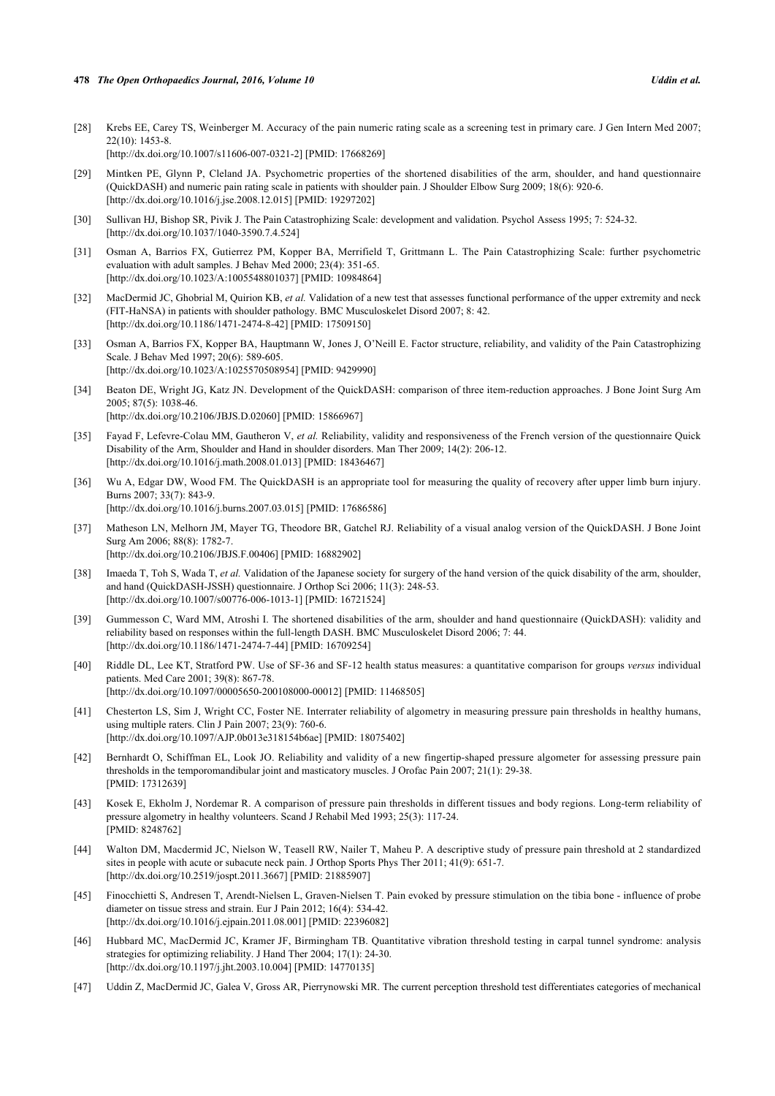- <span id="page-12-2"></span>[28] Krebs EE, Carey TS, Weinberger M. Accuracy of the pain numeric rating scale as a screening test in primary care. J Gen Intern Med 2007; 22(10): 1453-8. [\[http://dx.doi.org/10.1007/s11606-007-0321-2\]](http://dx.doi.org/10.1007/s11606-007-0321-2) [PMID: [17668269](http://www.ncbi.nlm.nih.gov/pubmed/17668269)]
- <span id="page-12-0"></span>[29] Mintken PE, Glynn P, Cleland JA. Psychometric properties of the shortened disabilities of the arm, shoulder, and hand questionnaire (QuickDASH) and numeric pain rating scale in patients with shoulder pain. J Shoulder Elbow Surg 2009; 18(6): 920-6. [\[http://dx.doi.org/10.1016/j.jse.2008.12.015\]](http://dx.doi.org/10.1016/j.jse.2008.12.015) [PMID: [19297202](http://www.ncbi.nlm.nih.gov/pubmed/19297202)]
- <span id="page-12-1"></span>[30] Sullivan HJ, Bishop SR, Pivik J. The Pain Catastrophizing Scale: development and validation. Psychol Assess 1995; 7: 524-32. [\[http://dx.doi.org/10.1037/1040-3590.7.4.524](http://dx.doi.org/10.1037/1040-3590.7.4.524)]
- <span id="page-12-15"></span>[31] Osman A, Barrios FX, Gutierrez PM, Kopper BA, Merrifield T, Grittmann L. The Pain Catastrophizing Scale: further psychometric evaluation with adult samples. J Behav Med 2000; 23(4): 351-65. [\[http://dx.doi.org/10.1023/A:1005548801037\]](http://dx.doi.org/10.1023/A:1005548801037) [PMID: [10984864](http://www.ncbi.nlm.nih.gov/pubmed/10984864)]
- <span id="page-12-4"></span>[32] MacDermid JC, Ghobrial M, Quirion KB, *et al.* Validation of a new test that assesses functional performance of the upper extremity and neck (FIT-HaNSA) in patients with shoulder pathology. BMC Musculoskelet Disord 2007; 8: 42. [\[http://dx.doi.org/10.1186/1471-2474-8-42\]](http://dx.doi.org/10.1186/1471-2474-8-42) [PMID: [17509150](http://www.ncbi.nlm.nih.gov/pubmed/17509150)]
- <span id="page-12-3"></span>[33] Osman A, Barrios FX, Kopper BA, Hauptmann W, Jones J, O'Neill E. Factor structure, reliability, and validity of the Pain Catastrophizing Scale. J Behav Med 1997; 20(6): 589-605. [\[http://dx.doi.org/10.1023/A:1025570508954\]](http://dx.doi.org/10.1023/A:1025570508954) [PMID: [9429990](http://www.ncbi.nlm.nih.gov/pubmed/9429990)]
- <span id="page-12-5"></span>[34] Beaton DE, Wright JG, Katz JN. Development of the QuickDASH: comparison of three item-reduction approaches. J Bone Joint Surg Am 2005; 87(5): 1038-46. [\[http://dx.doi.org/10.2106/JBJS.D.02060\]](http://dx.doi.org/10.2106/JBJS.D.02060) [PMID: [15866967](http://www.ncbi.nlm.nih.gov/pubmed/15866967)]
- <span id="page-12-16"></span>[35] Fayad F, Lefevre-Colau MM, Gautheron V, *et al.* Reliability, validity and responsiveness of the French version of the questionnaire Quick Disability of the Arm, Shoulder and Hand in shoulder disorders. Man Ther 2009; 14(2): 206-12. [\[http://dx.doi.org/10.1016/j.math.2008.01.013](http://dx.doi.org/10.1016/j.math.2008.01.013)] [PMID: [18436467\]](http://www.ncbi.nlm.nih.gov/pubmed/18436467)
- <span id="page-12-7"></span>[36] Wu A, Edgar DW, Wood FM. The QuickDASH is an appropriate tool for measuring the quality of recovery after upper limb burn injury. Burns 2007; 33(7): 843-9. [\[http://dx.doi.org/10.1016/j.burns.2007.03.015\]](http://dx.doi.org/10.1016/j.burns.2007.03.015) [PMID: [17686586](http://www.ncbi.nlm.nih.gov/pubmed/17686586)]
- <span id="page-12-8"></span>[37] Matheson LN, Melhorn JM, Mayer TG, Theodore BR, Gatchel RJ. Reliability of a visual analog version of the QuickDASH. J Bone Joint Surg Am 2006; 88(8): 1782-7. [\[http://dx.doi.org/10.2106/JBJS.F.00406](http://dx.doi.org/10.2106/JBJS.F.00406)] [PMID: [16882902\]](http://www.ncbi.nlm.nih.gov/pubmed/16882902)
- [38] Imaeda T, Toh S, Wada T, *et al.* Validation of the Japanese society for surgery of the hand version of the quick disability of the arm, shoulder, and hand (QuickDASH-JSSH) questionnaire. J Orthop Sci 2006; 11(3): 248-53. [\[http://dx.doi.org/10.1007/s00776-006-1013-1\]](http://dx.doi.org/10.1007/s00776-006-1013-1) [PMID: [16721524](http://www.ncbi.nlm.nih.gov/pubmed/16721524)]
- <span id="page-12-6"></span>[39] Gummesson C, Ward MM, Atroshi I. The shortened disabilities of the arm, shoulder and hand questionnaire (QuickDASH): validity and reliability based on responses within the full-length DASH. BMC Musculoskelet Disord 2006; 7: 44. [\[http://dx.doi.org/10.1186/1471-2474-7-44\]](http://dx.doi.org/10.1186/1471-2474-7-44) [PMID: [16709254](http://www.ncbi.nlm.nih.gov/pubmed/16709254)]
- <span id="page-12-9"></span>[40] Riddle DL, Lee KT, Stratford PW. Use of SF-36 and SF-12 health status measures: a quantitative comparison for groups *versus* individual patients. Med Care 2001; 39(8): 867-78. [\[http://dx.doi.org/10.1097/00005650-200108000-00012](http://dx.doi.org/10.1097/00005650-200108000-00012)] [PMID: [11468505\]](http://www.ncbi.nlm.nih.gov/pubmed/11468505)
- <span id="page-12-11"></span>[41] Chesterton LS, Sim J, Wright CC, Foster NE. Interrater reliability of algometry in measuring pressure pain thresholds in healthy humans, using multiple raters. Clin J Pain 2007; 23(9): 760-6. [\[http://dx.doi.org/10.1097/AJP.0b013e318154b6ae\]](http://dx.doi.org/10.1097/AJP.0b013e318154b6ae) [PMID: [18075402](http://www.ncbi.nlm.nih.gov/pubmed/18075402)]
- <span id="page-12-12"></span>[42] Bernhardt O, Schiffman EL, Look JO. Reliability and validity of a new fingertip-shaped pressure algometer for assessing pressure pain thresholds in the temporomandibular joint and masticatory muscles. J Orofac Pain 2007; 21(1): 29-38. [PMID: [17312639\]](http://www.ncbi.nlm.nih.gov/pubmed/17312639)
- <span id="page-12-10"></span>[43] Kosek E, Ekholm J, Nordemar R. A comparison of pressure pain thresholds in different tissues and body regions. Long-term reliability of pressure algometry in healthy volunteers. Scand J Rehabil Med 1993; 25(3): 117-24. [PMID: [8248762\]](http://www.ncbi.nlm.nih.gov/pubmed/8248762)
- <span id="page-12-17"></span>[44] Walton DM, Macdermid JC, Nielson W, Teasell RW, Nailer T, Maheu P. A descriptive study of pressure pain threshold at 2 standardized sites in people with acute or subacute neck pain. J Orthop Sports Phys Ther 2011; 41(9): 651-7. [\[http://dx.doi.org/10.2519/jospt.2011.3667](http://dx.doi.org/10.2519/jospt.2011.3667)] [PMID: [21885907\]](http://www.ncbi.nlm.nih.gov/pubmed/21885907)
- <span id="page-12-18"></span>[45] Finocchietti S, Andresen T, Arendt-Nielsen L, Graven-Nielsen T. Pain evoked by pressure stimulation on the tibia bone - influence of probe diameter on tissue stress and strain. Eur J Pain 2012; 16(4): 534-42. [\[http://dx.doi.org/10.1016/j.ejpain.2011.08.001\]](http://dx.doi.org/10.1016/j.ejpain.2011.08.001) [PMID: [22396082](http://www.ncbi.nlm.nih.gov/pubmed/22396082)]
- <span id="page-12-13"></span>[46] Hubbard MC, MacDermid JC, Kramer JF, Birmingham TB. Quantitative vibration threshold testing in carpal tunnel syndrome: analysis strategies for optimizing reliability. J Hand Ther 2004; 17(1): 24-30. [\[http://dx.doi.org/10.1197/j.jht.2003.10.004](http://dx.doi.org/10.1197/j.jht.2003.10.004)] [PMID: [14770135](http://www.ncbi.nlm.nih.gov/pubmed/14770135)]
- <span id="page-12-14"></span>[47] Uddin Z, MacDermid JC, Galea V, Gross AR, Pierrynowski MR. The current perception threshold test differentiates categories of mechanical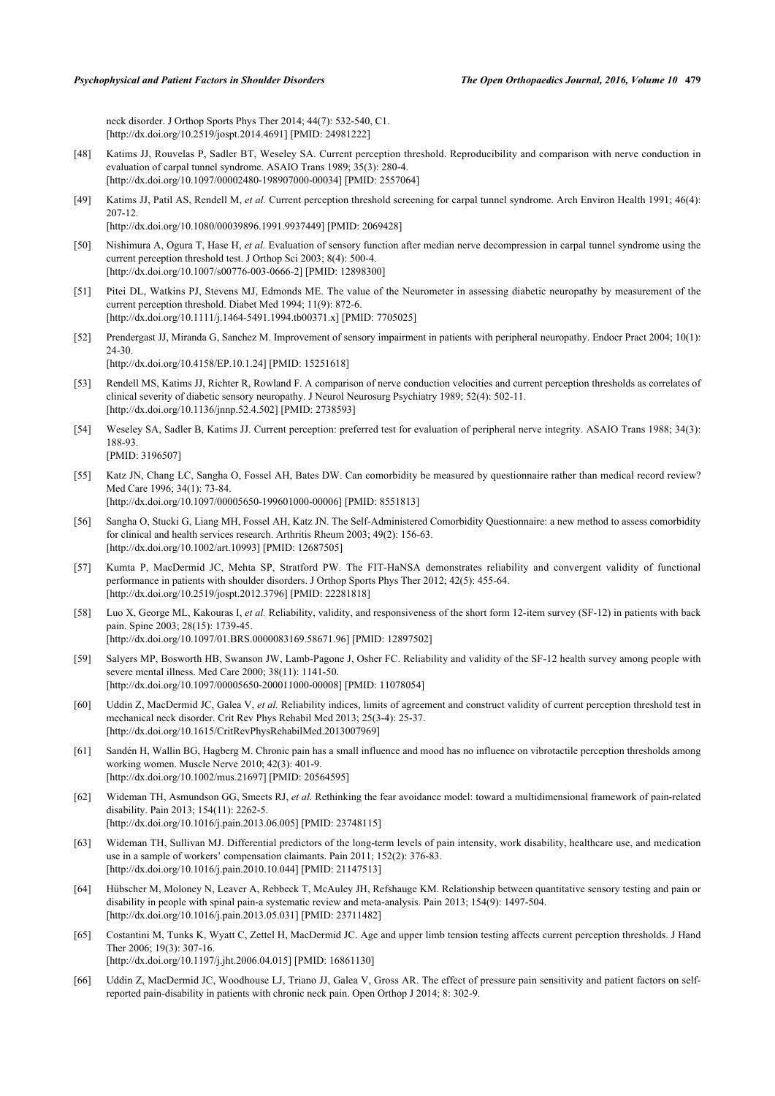neck disorder. J Orthop Sports Phys Ther 2014; 44(7): 532-540, C1. [\[http://dx.doi.org/10.2519/jospt.2014.4691](http://dx.doi.org/10.2519/jospt.2014.4691)] [PMID: [24981222\]](http://www.ncbi.nlm.nih.gov/pubmed/24981222)

- <span id="page-13-3"></span>[48] Katims JJ, Rouvelas P, Sadler BT, Weseley SA. Current perception threshold. Reproducibility and comparison with nerve conduction in evaluation of carpal tunnel syndrome. ASAIO Trans 1989; 35(3): 280-4. [\[http://dx.doi.org/10.1097/00002480-198907000-00034](http://dx.doi.org/10.1097/00002480-198907000-00034)] [PMID: [2557064\]](http://www.ncbi.nlm.nih.gov/pubmed/2557064)
- [49] Katims JJ, Patil AS, Rendell M, *et al.* Current perception threshold screening for carpal tunnel syndrome. Arch Environ Health 1991; 46(4): 207-12.
	- [\[http://dx.doi.org/10.1080/00039896.1991.9937449\]](http://dx.doi.org/10.1080/00039896.1991.9937449) [PMID: [2069428](http://www.ncbi.nlm.nih.gov/pubmed/2069428)]
- [50] Nishimura A, Ogura T, Hase H, *et al.* Evaluation of sensory function after median nerve decompression in carpal tunnel syndrome using the current perception threshold test. J Orthop Sci 2003; 8(4): 500-4. [\[http://dx.doi.org/10.1007/s00776-003-0666-2\]](http://dx.doi.org/10.1007/s00776-003-0666-2) [PMID: [12898300](http://www.ncbi.nlm.nih.gov/pubmed/12898300)]
- [51] Pitei DL, Watkins PJ, Stevens MJ, Edmonds ME. The value of the Neurometer in assessing diabetic neuropathy by measurement of the current perception threshold. Diabet Med 1994; 11(9): 872-6. [\[http://dx.doi.org/10.1111/j.1464-5491.1994.tb00371.x\]](http://dx.doi.org/10.1111/j.1464-5491.1994.tb00371.x) [PMID: [7705025](http://www.ncbi.nlm.nih.gov/pubmed/7705025)]
- [52] Prendergast JJ, Miranda G, Sanchez M. Improvement of sensory impairment in patients with peripheral neuropathy. Endocr Pract 2004; 10(1): 24-30. [\[http://dx.doi.org/10.4158/EP.10.1.24](http://dx.doi.org/10.4158/EP.10.1.24)] [PMID: [15251618\]](http://www.ncbi.nlm.nih.gov/pubmed/15251618)
- [53] Rendell MS, Katims JJ, Richter R, Rowland F. A comparison of nerve conduction velocities and current perception thresholds as correlates of clinical severity of diabetic sensory neuropathy. J Neurol Neurosurg Psychiatry 1989; 52(4): 502-11. [\[http://dx.doi.org/10.1136/jnnp.52.4.502](http://dx.doi.org/10.1136/jnnp.52.4.502)] [PMID: [2738593\]](http://www.ncbi.nlm.nih.gov/pubmed/2738593)
- <span id="page-13-4"></span>[54] Weseley SA, Sadler B, Katims JJ. Current perception: preferred test for evaluation of peripheral nerve integrity. ASAIO Trans 1988; 34(3): 188-93. [PMID: [3196507\]](http://www.ncbi.nlm.nih.gov/pubmed/3196507)
- <span id="page-13-5"></span>[55] Katz JN, Chang LC, Sangha O, Fossel AH, Bates DW. Can comorbidity be measured by questionnaire rather than medical record review? Med Care 1996; 34(1): 73-84. [\[http://dx.doi.org/10.1097/00005650-199601000-00006](http://dx.doi.org/10.1097/00005650-199601000-00006)] [PMID: [8551813\]](http://www.ncbi.nlm.nih.gov/pubmed/8551813)
- <span id="page-13-6"></span>[56] Sangha O, Stucki G, Liang MH, Fossel AH, Katz JN. The Self-Administered Comorbidity Questionnaire: a new method to assess comorbidity for clinical and health services research. Arthritis Rheum 2003; 49(2): 156-63. [\[http://dx.doi.org/10.1002/art.10993](http://dx.doi.org/10.1002/art.10993)] [PMID: [12687505\]](http://www.ncbi.nlm.nih.gov/pubmed/12687505)
- <span id="page-13-0"></span>[57] Kumta P, MacDermid JC, Mehta SP, Stratford PW. The FIT-HaNSA demonstrates reliability and convergent validity of functional performance in patients with shoulder disorders. J Orthop Sports Phys Ther 2012; 42(5): 455-64. [\[http://dx.doi.org/10.2519/jospt.2012.3796](http://dx.doi.org/10.2519/jospt.2012.3796)] [PMID: [22281818\]](http://www.ncbi.nlm.nih.gov/pubmed/22281818)
- <span id="page-13-1"></span>[58] Luo X, George ML, Kakouras I, *et al.* Reliability, validity, and responsiveness of the short form 12-item survey (SF-12) in patients with back pain. Spine 2003; 28(15): 1739-45. [\[http://dx.doi.org/10.1097/01.BRS.0000083169.58671.96\]](http://dx.doi.org/10.1097/01.BRS.0000083169.58671.96) [PMID: [12897502](http://www.ncbi.nlm.nih.gov/pubmed/12897502)]
- <span id="page-13-2"></span>[59] Salyers MP, Bosworth HB, Swanson JW, Lamb-Pagone J, Osher FC. Reliability and validity of the SF-12 health survey among people with severe mental illness. Med Care 2000; 38(11): 1141-50. [\[http://dx.doi.org/10.1097/00005650-200011000-00008](http://dx.doi.org/10.1097/00005650-200011000-00008)] [PMID: [11078054\]](http://www.ncbi.nlm.nih.gov/pubmed/11078054)
- <span id="page-13-7"></span>[60] Uddin Z, MacDermid JC, Galea V, *et al.* Reliability indices, limits of agreement and construct validity of current perception threshold test in mechanical neck disorder. Crit Rev Phys Rehabil Med 2013; 25(3-4): 25-37. [\[http://dx.doi.org/10.1615/CritRevPhysRehabilMed.2013007969](http://dx.doi.org/10.1615/CritRevPhysRehabilMed.2013007969)]
- <span id="page-13-8"></span>[61] Sandén H, Wallin BG, Hagberg M. Chronic pain has a small influence and mood has no influence on vibrotactile perception thresholds among working women. Muscle Nerve 2010; 42(3): 401-9. [\[http://dx.doi.org/10.1002/mus.21697](http://dx.doi.org/10.1002/mus.21697)] [PMID: [20564595\]](http://www.ncbi.nlm.nih.gov/pubmed/20564595)
- <span id="page-13-9"></span>[62] Wideman TH, Asmundson GG, Smeets RJ, *et al.* Rethinking the fear avoidance model: toward a multidimensional framework of pain-related disability. Pain 2013; 154(11): 2262-5. [\[http://dx.doi.org/10.1016/j.pain.2013.06.005\]](http://dx.doi.org/10.1016/j.pain.2013.06.005) [PMID: [23748115](http://www.ncbi.nlm.nih.gov/pubmed/23748115)]
- <span id="page-13-10"></span>[63] Wideman TH, Sullivan MJ. Differential predictors of the long-term levels of pain intensity, work disability, healthcare use, and medication use in a sample of workers' compensation claimants. Pain 2011; 152(2): 376-83. [\[http://dx.doi.org/10.1016/j.pain.2010.10.044\]](http://dx.doi.org/10.1016/j.pain.2010.10.044) [PMID: [21147513](http://www.ncbi.nlm.nih.gov/pubmed/21147513)]
- <span id="page-13-11"></span>[64] Hübscher M, Moloney N, Leaver A, Rebbeck T, McAuley JH, Refshauge KM. Relationship between quantitative sensory testing and pain or disability in people with spinal pain-a systematic review and meta-analysis. Pain 2013; 154(9): 1497-504. [\[http://dx.doi.org/10.1016/j.pain.2013.05.031\]](http://dx.doi.org/10.1016/j.pain.2013.05.031) [PMID: [23711482](http://www.ncbi.nlm.nih.gov/pubmed/23711482)]
- <span id="page-13-12"></span>[65] Costantini M, Tunks K, Wyatt C, Zettel H, MacDermid JC. Age and upper limb tension testing affects current perception thresholds. J Hand Ther 2006; 19(3): 307-16.
	- [\[http://dx.doi.org/10.1197/j.jht.2006.04.015](http://dx.doi.org/10.1197/j.jht.2006.04.015)] [PMID: [16861130](http://www.ncbi.nlm.nih.gov/pubmed/16861130)]
- <span id="page-13-13"></span>[66] Uddin Z, MacDermid JC, Woodhouse LJ, Triano JJ, Galea V, Gross AR. The effect of pressure pain sensitivity and patient factors on selfreported pain-disability in patients with chronic neck pain. Open Orthop J 2014; 8: 302-9.